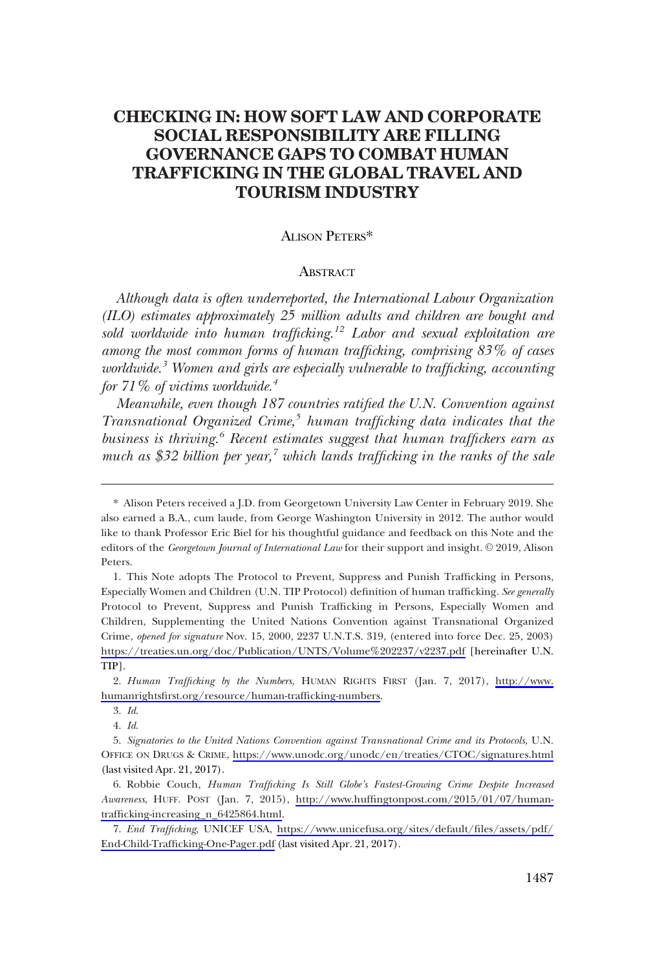# **CHECKING IN: HOW SOFT LAW AND CORPORATE SOCIAL RESPONSIBILITY ARE FILLING GOVERNANCE GAPS TO COMBAT HUMAN TRAFFICKING IN THE GLOBAL TRAVEL AND TOURISM INDUSTRY**

### ALISON PETERS\*

#### **ABSTRACT**

*Although data is often underreported, the International Labour Organization (ILO) estimates approximately 25 million adults and children are bought and sold worldwide into human trafficking.1 2 Labor and sexual exploitation are among the most common forms of human trafficking, comprising 83% of cases worldwide.3 Women and girls are especially vulnerable to trafficking, accounting for 71% of victims worldwide.4* 

*Meanwhile, even though 187 countries ratified the U.N. Convention against Transnational Organized Crime,<sup>5</sup> human trafficking data indicates that the business is thriving.6 Recent estimates suggest that human traffickers earn as*  much as \$32 billion per year,<sup>7</sup> which lands trafficking in the ranks of the sale

Alison Peters received a J.D. from Georgetown University Law Center in February 2019. She \* also earned a B.A., cum laude, from George Washington University in 2012. The author would like to thank Professor Eric Biel for his thoughtful guidance and feedback on this Note and the editors of the *Georgetown Journal of International Law* for their support and insight. © 2019, Alison Peters.

<sup>1.</sup> This Note adopts The Protocol to Prevent, Suppress and Punish Trafficking in Persons, Especially Women and Children (U.N. TIP Protocol) definition of human trafficking. *See generally*  Protocol to Prevent, Suppress and Punish Trafficking in Persons, Especially Women and Children, Supplementing the United Nations Convention against Transnational Organized Crime, *opened for signature* Nov. 15, 2000, 2237 U.N.T.S. 319, (entered into force Dec. 25, 2003) <https://treaties.un.org/doc/Publication/UNTS/Volume%202237/v2237.pdf> [hereinafter U.N. TIP].

*Human Trafficking by the Numbers*, HUMAN RIGHTS FIRST (Jan. 7, 2017), [http://www.](http://www.humanrightsfirst.org/resource/human-trafficking-numbers)  2. [humanrightsfirst.org/resource/human-trafficking-numbers](http://www.humanrightsfirst.org/resource/human-trafficking-numbers).

*Id*. 3.

*Id*. 4.

*Signatories to the United Nations Convention against Transnational Crime and its Protocols*, U.N. 5. OFFICE ON DRUGS & CRIME, <https://www.unodc.org/unodc/en/treaties/CTOC/signatures.html> (last visited Apr. 21, 2017).

Robbie Couch, *Human Trafficking Is Still Globe's Fastest-Growing Crime Despite Increased*  6. *Awareness*, HUFF. POST (Jan. 7, 2015), [http://www.huffingtonpost.com/2015/01/07/human](http://www.huffingtonpost.com/2015/01/07/human-trafficking-increasing_n_6425864.html)[trafficking-increasing\\_n\\_6425864.html](http://www.huffingtonpost.com/2015/01/07/human-trafficking-increasing_n_6425864.html).

*End Trafficking*, UNICEF USA, [https://www.unicefusa.org/sites/default/files/assets/pdf/](https://www.unicefusa.org/sites/default/files/assets/pdf/End-Child-Trafficking-One-Pager.pdf)  7. [End-Child-Trafficking-One-Pager.pdf](https://www.unicefusa.org/sites/default/files/assets/pdf/End-Child-Trafficking-One-Pager.pdf) (last visited Apr. 21, 2017).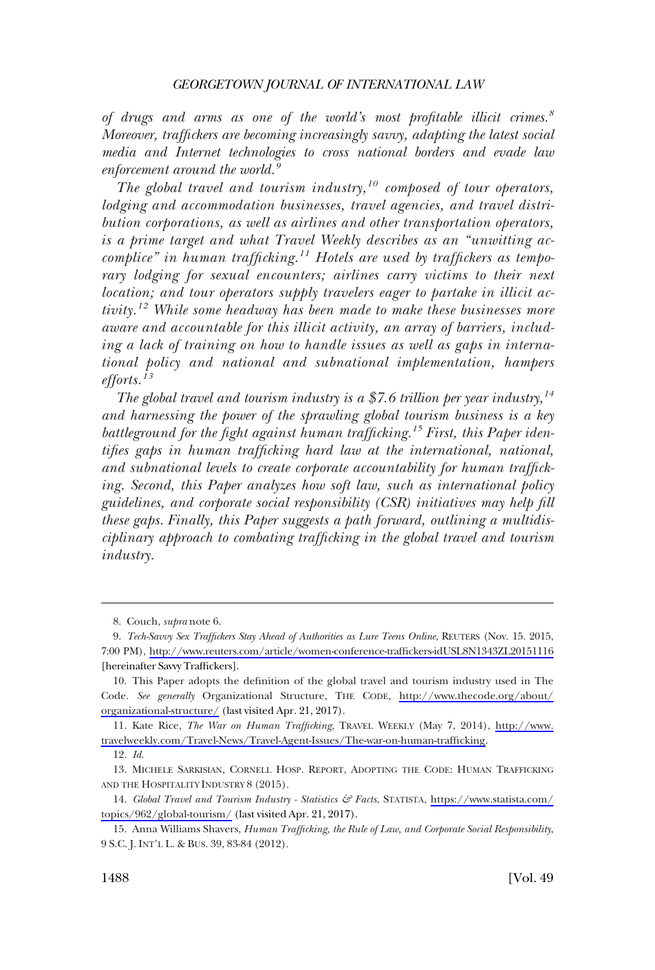*of drugs and arms as one of the world's most profitable illicit crimes.<sup>8</sup> Moreover, traffickers are becoming increasingly savvy, adapting the latest social media and Internet technologies to cross national borders and evade law enforcement around the world.<sup>9</sup>*

*The global travel and tourism industry,<sup>10</sup> composed of tour operators, lodging and accommodation businesses, travel agencies, and travel distribution corporations, as well as airlines and other transportation operators, is a prime target and what Travel Weekly describes as an "unwitting accomplice" in human trafficking.<sup>11</sup> Hotels are used by traffickers as temporary lodging for sexual encounters; airlines carry victims to their next location; and tour operators supply travelers eager to partake in illicit activity.<sup>12</sup> While some headway has been made to make these businesses more aware and accountable for this illicit activity, an array of barriers, including a lack of training on how to handle issues as well as gaps in international policy and national and subnational implementation, hampers efforts.<sup>13</sup>*

*The global travel and tourism industry is a \$7.6 trillion per year industry,<sup>14</sup> and harnessing the power of the sprawling global tourism business is a key battleground for the fight against human trafficking.<sup>15</sup> First, this Paper identifies gaps in human trafficking hard law at the international, national, and subnational levels to create corporate accountability for human trafficking. Second, this Paper analyzes how soft law, such as international policy guidelines, and corporate social responsibility (CSR) initiatives may help fill these gaps. Finally, this Paper suggests a path forward, outlining a multidisciplinary approach to combating trafficking in the global travel and tourism industry.* 

11. Kate Rice, *The War on Human Trafficking*, TRAVEL WEEKLY (May 7, 2014), http://www. [travelweekly.com/Travel-News/Travel-Agent-Issues/The-war-on-human-trafficking](http://www.travelweekly.com/Travel-News/Travel-Agent-Issues/The-war-on-human-trafficking).

*Id*. 12.

13. MICHELE SARKISIAN, CORNELL HOSP. REPORT, ADOPTING THE CODE: HUMAN TRAFFICKING AND THE HOSPITALITY INDUSTRY 8 (2015).

14. Global Travel and Tourism Industry - Statistics & Facts, STATISTA, [https://www.statista.com/](https://www.statista.com/topics/962/global-tourism/) [topics/962/global-tourism/](https://www.statista.com/topics/962/global-tourism/) (last visited Apr. 21, 2017).

Couch, *supra* note 6. 8.

*Tech-Savvy Sex Traffickers Stay Ahead of Authorities as Lure Teens Online*, REUTERS (Nov. 15. 2015, 9. 7:00 PM), <http://www.reuters.com/article/women-conference-traffickers-idUSL8N1343ZL20151116> [hereinafter Savvy Traffickers].

This Paper adopts the definition of the global travel and tourism industry used in The 10. Code. *See generally* Organizational Structure, THE CODE, [http://www.thecode.org/about/](http://www.thecode.org/about/organizational-structure/)  [organizational-structure/](http://www.thecode.org/about/organizational-structure/) (last visited Apr. 21, 2017).

Anna Williams Shavers, *Human Trafficking, the Rule of Law, and Corporate Social Responsibility*, 15. 9 S.C. J. INT'L L. & BUS. 39, 83-84 (2012).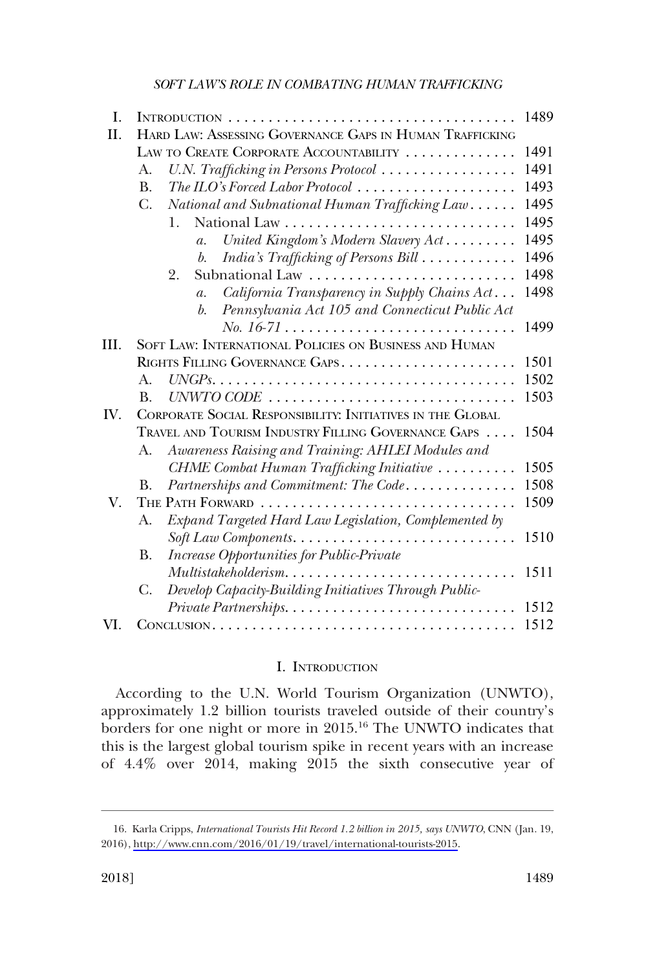| Ι.   |                                                                  | 1489 |
|------|------------------------------------------------------------------|------|
| II.  | HARD LAW: ASSESSING GOVERNANCE GAPS IN HUMAN TRAFFICKING         |      |
|      | LAW TO CREATE CORPORATE ACCOUNTABILITY                           | 1491 |
|      | U.N. Trafficking in Persons Protocol<br>A.                       | 1491 |
|      | The ILO's Forced Labor Protocol<br><b>B.</b>                     | 1493 |
|      | $C_{\cdot}$<br>National and Subnational Human Trafficking Law    | 1495 |
|      | 1.                                                               | 1495 |
|      | United Kingdom's Modern Slavery Act<br>$\mathfrak{a}.$           | 1495 |
|      | India's Trafficking of Persons Bill<br>$b$ .                     | 1496 |
|      | 2.<br>Subnational Law                                            | 1498 |
|      | California Transparency in Supply Chains Act<br>$\overline{a}$ . | 1498 |
|      | Pennsylvania Act 105 and Connecticut Public Act<br>$b$ .         |      |
|      |                                                                  | 1499 |
| III. | SOFT LAW: INTERNATIONAL POLICIES ON BUSINESS AND HUMAN           |      |
|      | RIGHTS FILLING GOVERNANCE GAPS                                   | 1501 |
|      | $A_{\cdot}$                                                      | 1502 |
|      | B.                                                               | 1503 |
| IV.  | CORPORATE SOCIAL RESPONSIBILITY: INITIATIVES IN THE GLOBAL       |      |
|      | TRAVEL AND TOURISM INDUSTRY FILLING GOVERNANCE GAPS              | 1504 |
|      | Awareness Raising and Training: AHLEI Modules and<br>А.          |      |
|      | CHME Combat Human Trafficking Initiative                         | 1505 |
|      | Partnerships and Commitment: The Code<br>B.                      | 1508 |
| V.   | THE PATH FORWARD                                                 | 1509 |
|      | Expand Targeted Hard Law Legislation, Complemented by<br>А.      |      |
|      |                                                                  | 1510 |
|      | <b>Increase Opportunities for Public-Private</b><br><b>B.</b>    |      |
|      | Multistakeholderism                                              | 1511 |
|      | Develop Capacity-Building Initiatives Through Public-<br>С.      |      |
|      | Private Partnerships                                             | 1512 |
| VI.  |                                                                  | 1512 |

### I. INTRODUCTION

According to the U.N. World Tourism Organization (UNWTO), approximately 1.2 billion tourists traveled outside of their country's borders for one night or more in 2015.<sup>16</sup> The UNWTO indicates that this is the largest global tourism spike in recent years with an increase of 4.4% over 2014, making 2015 the sixth consecutive year of

<sup>16.</sup> Karla Cripps, *International Tourists Hit Record 1.2 billion in 2015*, says UNWTO, CNN (Jan. 19, 2016), [http://www.cnn.com/2016/01/19/travel/international-tourists-2015.](http://www.cnn.com/2016/01/19/travel/international-tourists-2015)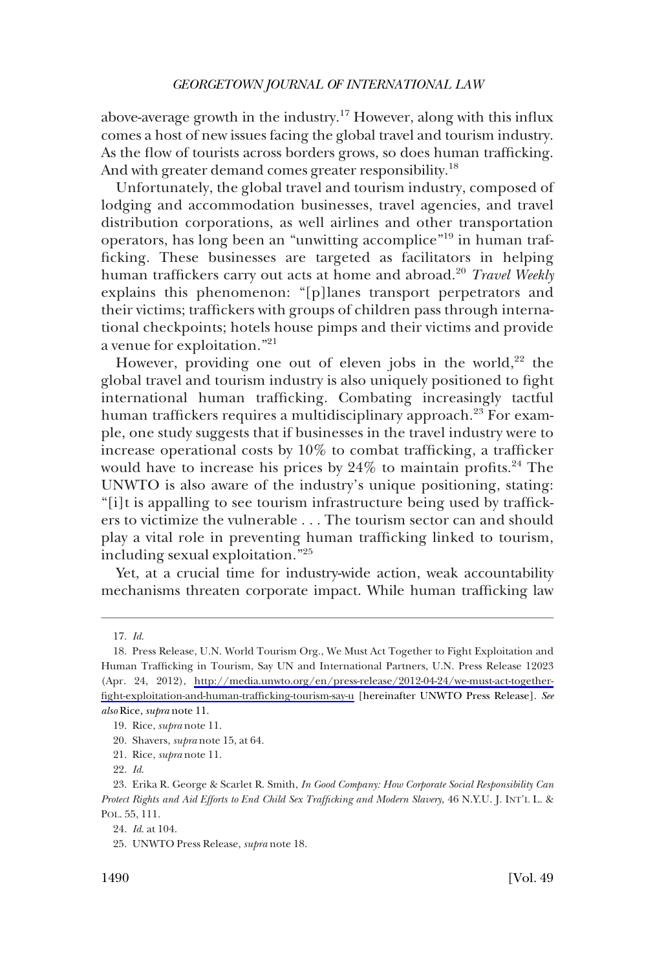above-average growth in the industry.<sup>17</sup> However, along with this influx comes a host of new issues facing the global travel and tourism industry. As the flow of tourists across borders grows, so does human trafficking. And with greater demand comes greater responsibility.<sup>18</sup>

Unfortunately, the global travel and tourism industry, composed of lodging and accommodation businesses, travel agencies, and travel distribution corporations, as well airlines and other transportation operators, has long been an "unwitting accomplice"<sup>19</sup> in human trafficking. These businesses are targeted as facilitators in helping human traffickers carry out acts at home and abroad.<sup>20</sup> *Travel Weekly*  explains this phenomenon: "[p]lanes transport perpetrators and their victims; traffickers with groups of children pass through international checkpoints; hotels house pimps and their victims and provide a venue for exploitation."<sup>21</sup>

However, providing one out of eleven jobs in the world,<sup>22</sup> the global travel and tourism industry is also uniquely positioned to fight international human trafficking. Combating increasingly tactful human traffickers requires a multidisciplinary approach.<sup>23</sup> For example, one study suggests that if businesses in the travel industry were to increase operational costs by 10% to combat trafficking, a trafficker would have to increase his prices by 24% to maintain profits.<sup>24</sup> The UNWTO is also aware of the industry's unique positioning, stating: "[i]t is appalling to see tourism infrastructure being used by traffickers to victimize the vulnerable . . . The tourism sector can and should play a vital role in preventing human trafficking linked to tourism, including sexual exploitation."<sup>25</sup>

Yet, at a crucial time for industry-wide action, weak accountability mechanisms threaten corporate impact. While human trafficking law

*Id*. 17.

<sup>18.</sup> Press Release, U.N. World Tourism Org., We Must Act Together to Fight Exploitation and Human Trafficking in Tourism, Say UN and International Partners, U.N. Press Release 12023 (Apr. 24, 2012), [http://media.unwto.org/en/press-release/2012-04-24/we-must-act-together](http://media.unwto.org/en/press-release/2012-04-24/we-must-act-together-fight-exploitation-and-human-trafficking-tourism-say-u)[fight-exploitation-and-human-trafficking-tourism-say-u](http://media.unwto.org/en/press-release/2012-04-24/we-must-act-together-fight-exploitation-and-human-trafficking-tourism-say-u) [hereinafter UNWTO Press Release]. *See also* Rice, *supra* note 11.

<sup>19.</sup> Rice, *supra* note 11.

<sup>20.</sup> Shavers, *supra* note 15, at 64.

<sup>21.</sup> Rice, *supra* note 11.

*Id*. 22.

Erika R. George & Scarlet R. Smith, *In Good Company: How Corporate Social Responsibility Can* 23. *Protect Rights and Aid Efforts to End Child Sex Trafficking and Modern Slavery*, 46 N.Y.U. J. INT'L L. & POL. 55, 111.

*Id*. at 104. 24.

UNWTO Press Release, *supra* note 18. 25.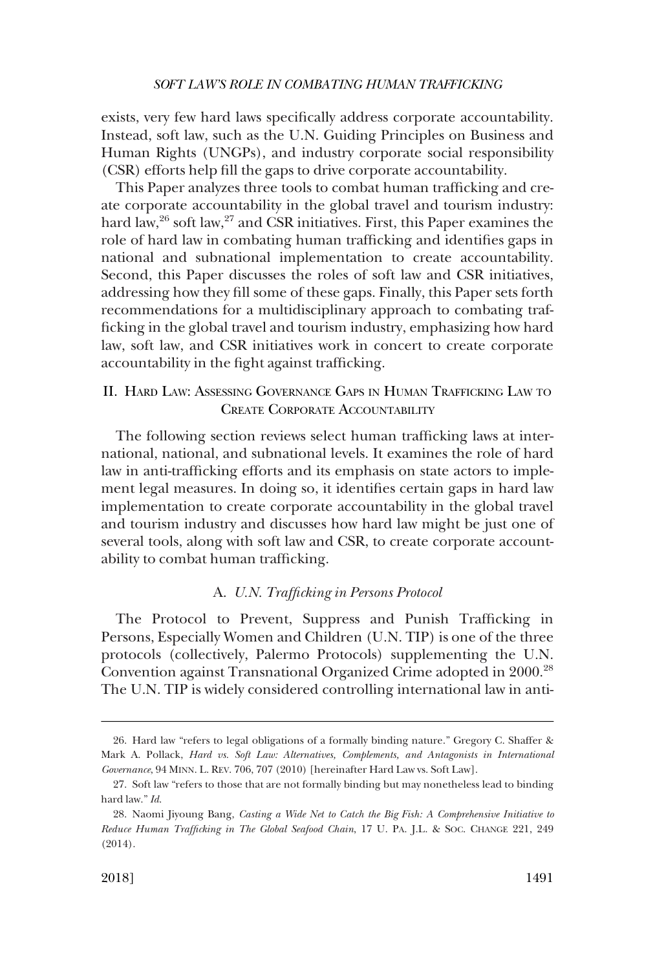<span id="page-4-0"></span>exists, very few hard laws specifically address corporate accountability. Instead, soft law, such as the U.N. Guiding Principles on Business and Human Rights (UNGPs), and industry corporate social responsibility (CSR) efforts help fill the gaps to drive corporate accountability.

This Paper analyzes three tools to combat human trafficking and create corporate accountability in the global travel and tourism industry: hard law,<sup>26</sup> soft law,<sup>27</sup> and CSR initiatives. First, this Paper examines the role of hard law in combating human trafficking and identifies gaps in national and subnational implementation to create accountability. Second, this Paper discusses the roles of soft law and CSR initiatives, addressing how they fill some of these gaps. Finally, this Paper sets forth recommendations for a multidisciplinary approach to combating trafficking in the global travel and tourism industry, emphasizing how hard law, soft law, and CSR initiatives work in concert to create corporate accountability in the fight against trafficking.

# II. HARD LAW: ASSESSING GOVERNANCE GAPS IN HUMAN TRAFFICKING LAW TO CREATE CORPORATE ACCOUNTABILITY

The following section reviews select human trafficking laws at international, national, and subnational levels. It examines the role of hard law in anti-trafficking efforts and its emphasis on state actors to implement legal measures. In doing so, it identifies certain gaps in hard law implementation to create corporate accountability in the global travel and tourism industry and discusses how hard law might be just one of several tools, along with soft law and CSR, to create corporate accountability to combat human trafficking.

# A. *U.N. Trafficking in Persons Protocol*

The Protocol to Prevent, Suppress and Punish Trafficking in Persons, Especially Women and Children (U.N. TIP) is one of the three protocols (collectively, Palermo Protocols) supplementing the U.N. Convention against Transnational Organized Crime adopted in 2000.28 The U.N. TIP is widely considered controlling international law in anti-

<sup>26.</sup> Hard law "refers to legal obligations of a formally binding nature." Gregory C. Shaffer & Mark A. Pollack, *Hard vs. Soft Law: Alternatives, Complements, and Antagonists in International Governance*, 94 MINN. L. REV. 706, 707 (2010) [hereinafter Hard Law vs. Soft Law].

<sup>27.</sup> Soft law "refers to those that are not formally binding but may nonetheless lead to binding hard law." *Id*.

Naomi Jiyoung Bang, *Casting a Wide Net to Catch the Big Fish: A Comprehensive Initiative to*  28. *Reduce Human Trafficking in The Global Seafood Chain*, 17 U. PA. J.L. & SOC. CHANGE 221, 249 (2014).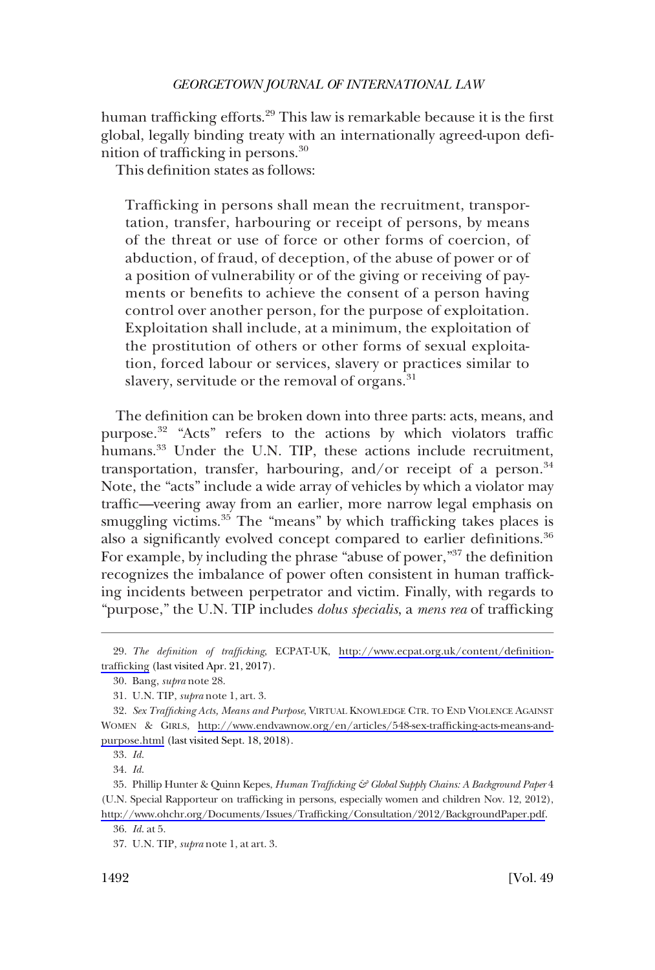human trafficking efforts.<sup>29</sup> This law is remarkable because it is the first global, legally binding treaty with an internationally agreed-upon definition of trafficking in persons.30

This definition states as follows:

Trafficking in persons shall mean the recruitment, transportation, transfer, harbouring or receipt of persons, by means of the threat or use of force or other forms of coercion, of abduction, of fraud, of deception, of the abuse of power or of a position of vulnerability or of the giving or receiving of payments or benefits to achieve the consent of a person having control over another person, for the purpose of exploitation. Exploitation shall include, at a minimum, the exploitation of the prostitution of others or other forms of sexual exploitation, forced labour or services, slavery or practices similar to slavery, servitude or the removal of organs.<sup>31</sup>

The definition can be broken down into three parts: acts, means, and purpose.<sup>32</sup> "Acts" refers to the actions by which violators traffic humans.<sup>33</sup> Under the U.N. TIP, these actions include recruitment, transportation, transfer, harbouring, and/or receipt of a person. $34$ Note, the "acts" include a wide array of vehicles by which a violator may traffic—veering away from an earlier, more narrow legal emphasis on smuggling victims.<sup>35</sup> The "means" by which trafficking takes places is also a significantly evolved concept compared to earlier definitions.<sup>36</sup> For example, by including the phrase "abuse of power,"<sup>37</sup> the definition recognizes the imbalance of power often consistent in human trafficking incidents between perpetrator and victim. Finally, with regards to "purpose," the U.N. TIP includes *dolus specialis*, a *mens rea* of trafficking

*Id*. 34.

*The definition of trafficking*, ECPAT-UK, [http://www.ecpat.org.uk/content/definition-](http://www.ecpat.org.uk/content/definition-trafficking)29. [trafficking](http://www.ecpat.org.uk/content/definition-trafficking) (last visited Apr. 21, 2017).

Bang, *supra* note 28. 30.

U.N. TIP, *supra* note 1, art. 3. 31.

*Sex Trafficking Acts, Means and Purpose*, VIRTUAL KNOWLEDGE CTR. TO END VIOLENCE AGAINST 32. WOMEN & GIRLS, [http://www.endvawnow.org/en/articles/548-sex-trafficking-acts-means-and](http://www.endvawnow.org/en/articles/548-sex-trafficking-acts-means-and-purpose.html)[purpose.html](http://www.endvawnow.org/en/articles/548-sex-trafficking-acts-means-and-purpose.html) (last visited Sept. 18, 2018).

*Id*. 33.

Phillip Hunter & Quinn Kepes, *Human Trafficking & Global Supply Chains: A Background Paper* 4 35. (U.N. Special Rapporteur on trafficking in persons, especially women and children Nov. 12, 2012), [http://www.ohchr.org/Documents/Issues/Trafficking/Consultation/2012/BackgroundPaper.pdf.](http://www.ohchr.org/Documents/Issues/Trafficking/Consultation/2012/BackgroundPaper.pdf)

*Id*. at 5. 36.

U.N. TIP, *supra* note 1, at art. 3. 37.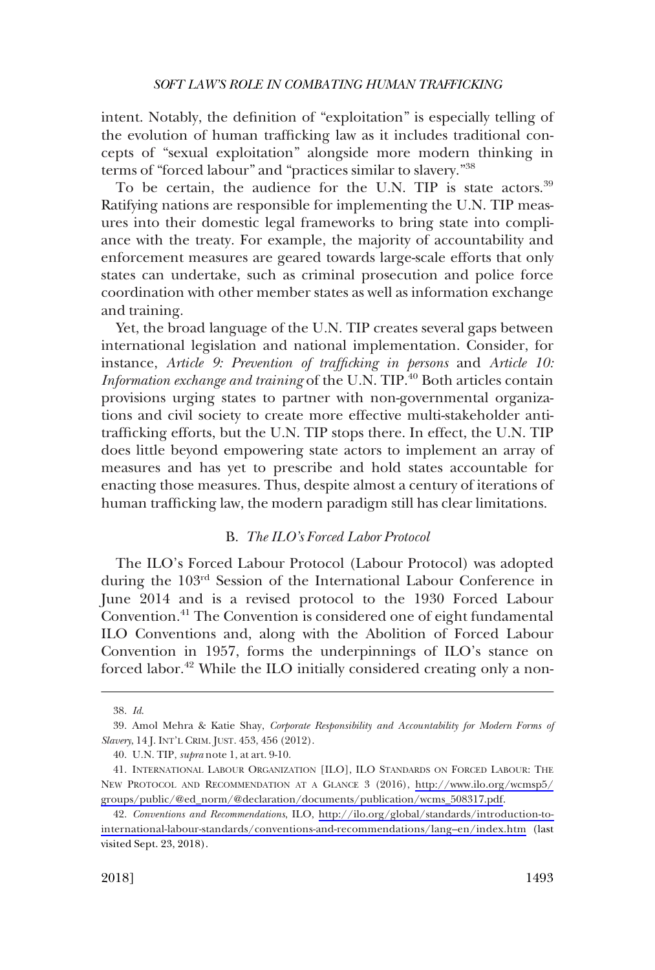<span id="page-6-0"></span>intent. Notably, the definition of "exploitation" is especially telling of the evolution of human trafficking law as it includes traditional concepts of "sexual exploitation" alongside more modern thinking in terms of "forced labour" and "practices similar to slavery."38

To be certain, the audience for the U.N. TIP is state actors.<sup>39</sup> Ratifying nations are responsible for implementing the U.N. TIP measures into their domestic legal frameworks to bring state into compliance with the treaty. For example, the majority of accountability and enforcement measures are geared towards large-scale efforts that only states can undertake, such as criminal prosecution and police force coordination with other member states as well as information exchange and training.

Yet, the broad language of the U.N. TIP creates several gaps between international legislation and national implementation. Consider, for instance, *Article 9: Prevention of trafficking in persons* and *Article 10:*  Information exchange and training of the U.N. TIP.<sup>40</sup> Both articles contain provisions urging states to partner with non-governmental organizations and civil society to create more effective multi-stakeholder antitrafficking efforts, but the U.N. TIP stops there. In effect, the U.N. TIP does little beyond empowering state actors to implement an array of measures and has yet to prescribe and hold states accountable for enacting those measures. Thus, despite almost a century of iterations of human trafficking law, the modern paradigm still has clear limitations.

### B. *The ILO's Forced Labor Protocol*

The ILO's Forced Labour Protocol (Labour Protocol) was adopted during the 103rd Session of the International Labour Conference in June 2014 and is a revised protocol to the 1930 Forced Labour Convention.<sup>41</sup> The Convention is considered one of eight fundamental ILO Conventions and, along with the Abolition of Forced Labour Convention in 1957, forms the underpinnings of ILO's stance on forced labor.<sup>42</sup> While the ILO initially considered creating only a non-

*Id*. 38.

Amol Mehra & Katie Shay, *Corporate Responsibility and Accountability for Modern Forms of*  39. *Slavery*, 14 J. INT'L CRIM. JUST. 453, 456 (2012).

U.N. TIP, *supra* note 1, at art. 9-10. 40.

<sup>41.</sup> INTERNATIONAL LABOUR ORGANIZATION [ILO], ILO STANDARDS ON FORCED LABOUR: THE NEW PROTOCOL AND RECOMMENDATION AT A GLANCE 3 (2016), [http://www.ilo.org/wcmsp5/](http://www.ilo.org/wcmsp5/groups/public/@ed_norm/@declaration/documents/publication/wcms_508317.pdf) [groups/public/@ed\\_norm/@declaration/documents/publication/wcms\\_508317.pdf](http://www.ilo.org/wcmsp5/groups/public/@ed_norm/@declaration/documents/publication/wcms_508317.pdf).

*Conventions and Recommendations*, ILO, [http://ilo.org/global/standards/introduction-to-](http://ilo.org/global/standards/introduction-to-international-labour-standards/conventions-and-recommendations/lang--en/index.htm)42. [international-labour-standards/conventions-and-recommendations/lang–en/index.htm](http://ilo.org/global/standards/introduction-to-international-labour-standards/conventions-and-recommendations/lang--en/index.htm) (last visited Sept. 23, 2018).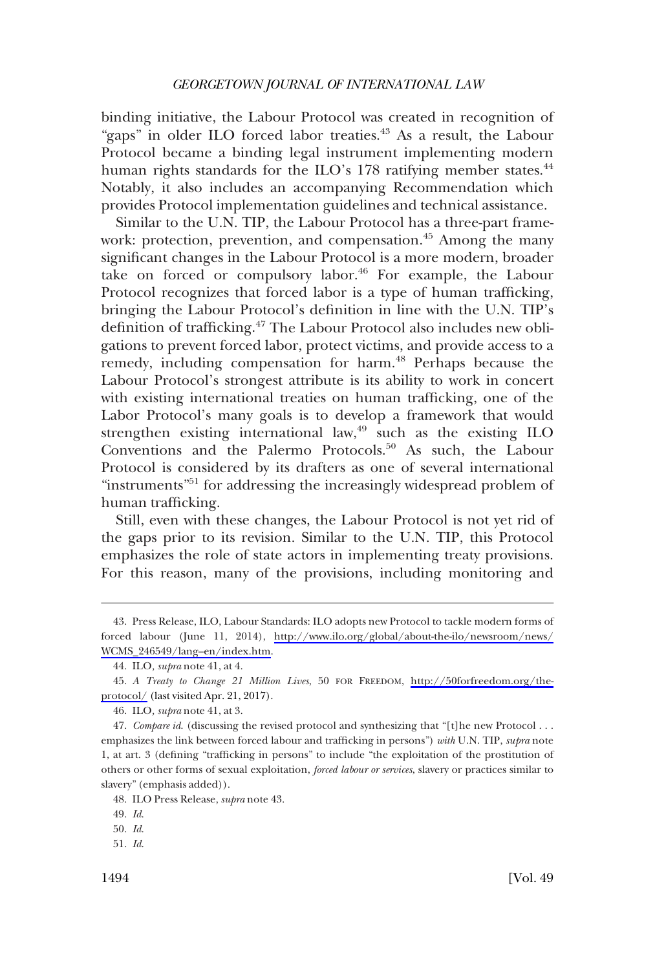binding initiative, the Labour Protocol was created in recognition of "gaps" in older ILO forced labor treaties.<sup>43</sup> As a result, the Labour Protocol became a binding legal instrument implementing modern human rights standards for the ILO's 178 ratifying member states.<sup>44</sup> Notably, it also includes an accompanying Recommendation which provides Protocol implementation guidelines and technical assistance.

Similar to the U.N. TIP, the Labour Protocol has a three-part framework: protection, prevention, and compensation.<sup>45</sup> Among the many significant changes in the Labour Protocol is a more modern, broader take on forced or compulsory labor.<sup>46</sup> For example, the Labour Protocol recognizes that forced labor is a type of human trafficking, bringing the Labour Protocol's definition in line with the U.N. TIP's definition of trafficking.<sup>47</sup> The Labour Protocol also includes new obligations to prevent forced labor, protect victims, and provide access to a remedy, including compensation for harm.<sup>48</sup> Perhaps because the Labour Protocol's strongest attribute is its ability to work in concert with existing international treaties on human trafficking, one of the Labor Protocol's many goals is to develop a framework that would strengthen existing international law, $49$  such as the existing ILO Conventions and the Palermo Protocols.<sup>50</sup> As such, the Labour Protocol is considered by its drafters as one of several international "instruments"<sup>51</sup> for addressing the increasingly widespread problem of human trafficking.

Still, even with these changes, the Labour Protocol is not yet rid of the gaps prior to its revision. Similar to the U.N. TIP, this Protocol emphasizes the role of state actors in implementing treaty provisions. For this reason, many of the provisions, including monitoring and

<sup>43.</sup> Press Release, ILO, Labour Standards: ILO adopts new Protocol to tackle modern forms of forced labour (June 11, 2014), [http://www.ilo.org/global/about-the-ilo/newsroom/news/](http://www.ilo.org/global/about-the-ilo/newsroom/news/WCMS_246549/lang--en/index.htm)  [WCMS\\_246549/lang–en/index.htm.](http://www.ilo.org/global/about-the-ilo/newsroom/news/WCMS_246549/lang--en/index.htm)

ILO*, supra* note 41, at 4. 44.

*A Treaty to Change 21 Million Lives*, 50 FOR FREEDOM, [http://50forfreedom.org/the-](http://50forfreedom.org/the-protocol/)45. [protocol/](http://50forfreedom.org/the-protocol/) (last visited Apr. 21, 2017).

ILO*, supra* note 41, at 3. 46.

<sup>47.</sup> Compare id. (discussing the revised protocol and synthesizing that "[t]he new Protocol . . . emphasizes the link between forced labour and trafficking in persons") *with* U.N. TIP, *supra* note 1, at art. 3 (defining "trafficking in persons" to include "the exploitation of the prostitution of others or other forms of sexual exploitation, *forced labour or services*, slavery or practices similar to slavery" (emphasis added)).

ILO Press Release, *supra* note 43. 48.

*Id*. 49.

*Id*. 50.

*Id*. 51.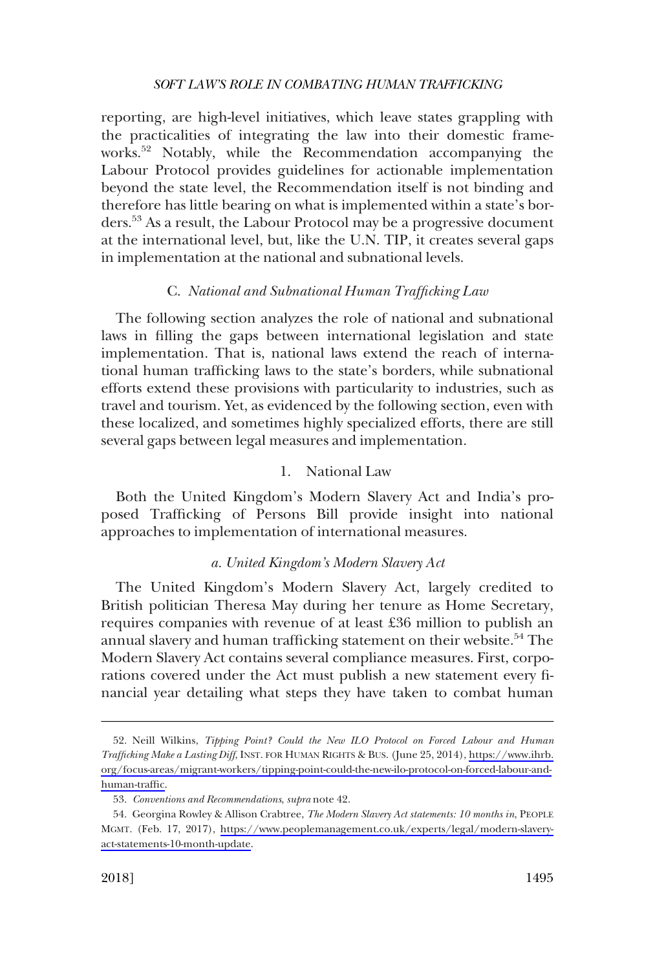<span id="page-8-0"></span>reporting, are high-level initiatives, which leave states grappling with the practicalities of integrating the law into their domestic frameworks.52 Notably, while the Recommendation accompanying the Labour Protocol provides guidelines for actionable implementation beyond the state level, the Recommendation itself is not binding and therefore has little bearing on what is implemented within a state's borders.53 As a result, the Labour Protocol may be a progressive document at the international level, but, like the U.N. TIP, it creates several gaps in implementation at the national and subnational levels.

### C. *National and Subnational Human Trafficking Law*

The following section analyzes the role of national and subnational laws in filling the gaps between international legislation and state implementation. That is, national laws extend the reach of international human trafficking laws to the state's borders, while subnational efforts extend these provisions with particularity to industries, such as travel and tourism. Yet, as evidenced by the following section, even with these localized, and sometimes highly specialized efforts, there are still several gaps between legal measures and implementation.

# 1. National Law

Both the United Kingdom's Modern Slavery Act and India's proposed Trafficking of Persons Bill provide insight into national approaches to implementation of international measures.

### *a. United Kingdom's Modern Slavery Act*

The United Kingdom's Modern Slavery Act, largely credited to British politician Theresa May during her tenure as Home Secretary, requires companies with revenue of at least £36 million to publish an annual slavery and human trafficking statement on their website.<sup>54</sup> The Modern Slavery Act contains several compliance measures. First, corporations covered under the Act must publish a new statement every financial year detailing what steps they have taken to combat human

<sup>52.</sup> Neill Wilkins, Tipping Point? Could the New ILO Protocol on Forced Labour and Human *Trafficking Make a Lasting Diff*, INST. FOR HUMAN RIGHTS & BUS. (June 25, 2014), [https://www.ihrb.](https://www.ihrb.org/focus-areas/migrant-workers/tipping-point-could-the-new-ilo-protocol-on-forced-labour-and-human-traffic) [org/focus-areas/migrant-workers/tipping-point-could-the-new-ilo-protocol-on-forced-labour-and](https://www.ihrb.org/focus-areas/migrant-workers/tipping-point-could-the-new-ilo-protocol-on-forced-labour-and-human-traffic)[human-traffic](https://www.ihrb.org/focus-areas/migrant-workers/tipping-point-could-the-new-ilo-protocol-on-forced-labour-and-human-traffic).

*Conventions and Recommendations*, *supra* note 42. 53.

<sup>54.</sup> Georgina Rowley & Allison Crabtree, *The Modern Slavery Act statements: 10 months in*, PEOPLE MGMT. (Feb. 17, 2017), [https://www.peoplemanagement.co.uk/experts/legal/modern-slavery](https://www.peoplemanagement.co.uk/experts/legal/modern-slavery-act-statements-10-month-update)[act-statements-10-month-update](https://www.peoplemanagement.co.uk/experts/legal/modern-slavery-act-statements-10-month-update).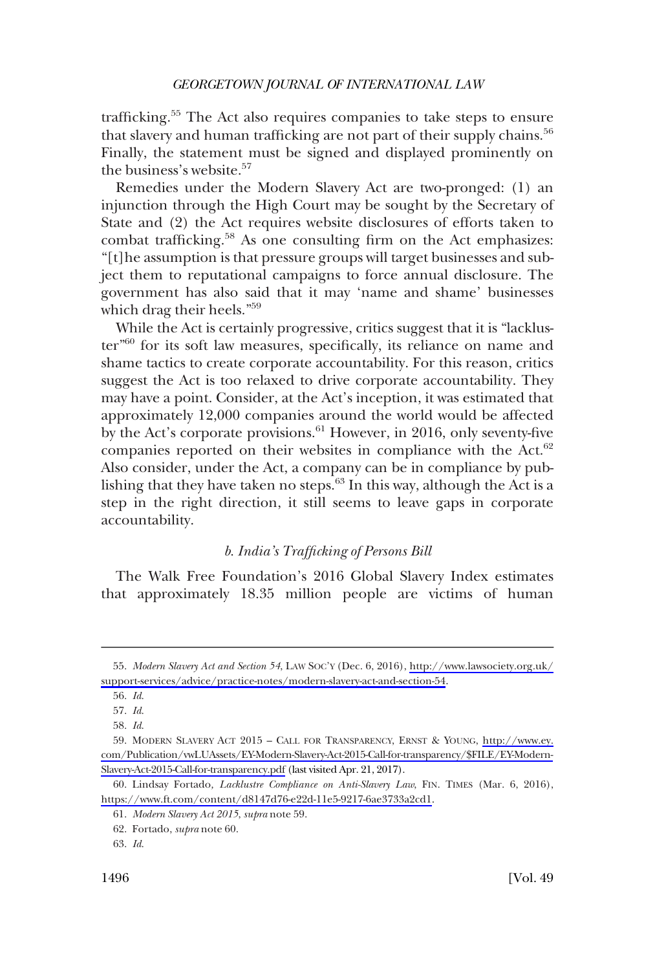<span id="page-9-0"></span>trafficking.<sup>55</sup> The Act also requires companies to take steps to ensure that slavery and human trafficking are not part of their supply chains.<sup>56</sup> Finally, the statement must be signed and displayed prominently on the business's website.<sup>57</sup>

Remedies under the Modern Slavery Act are two-pronged: (1) an injunction through the High Court may be sought by the Secretary of State and (2) the Act requires website disclosures of efforts taken to combat trafficking.<sup>58</sup> As one consulting firm on the Act emphasizes: "[t]he assumption is that pressure groups will target businesses and subject them to reputational campaigns to force annual disclosure. The government has also said that it may 'name and shame' businesses which drag their heels."59

While the Act is certainly progressive, critics suggest that it is "lackluster"60 for its soft law measures, specifically, its reliance on name and shame tactics to create corporate accountability. For this reason, critics suggest the Act is too relaxed to drive corporate accountability. They may have a point. Consider, at the Act's inception, it was estimated that approximately 12,000 companies around the world would be affected by the Act's corporate provisions.<sup>61</sup> However, in 2016, only seventy-five companies reported on their websites in compliance with the Act. $62$ Also consider, under the Act, a company can be in compliance by publishing that they have taken no steps. $6<sup>3</sup>$  In this way, although the Act is a step in the right direction, it still seems to leave gaps in corporate accountability.

### *b. India's Trafficking of Persons Bill*

The Walk Free Foundation's 2016 Global Slavery Index estimates that approximately 18.35 million people are victims of human

*Modern Slavery Act and Section 54*, LAW SOC'Y (Dec. 6, 2016), [http://www.lawsociety.org.uk/](http://www.lawsociety.org.uk/support-services/advice/practice-notes/modern-slavery-act-and-section-54) 55. [support-services/advice/practice-notes/modern-slavery-act-and-section-54.](http://www.lawsociety.org.uk/support-services/advice/practice-notes/modern-slavery-act-and-section-54)

*Id*. 56.

*Id*. 57.

*Id*. 58.

MODERN SLAVERY ACT 2015 – CALL FOR TRANSPARENCY, ERNST & YOUNG, [http://www.ey.](https://www.ey.com/Publication/vwLUAssets/EY-Modern-Slavery-Act-2015-Call-for-transparency/$FILE/EY-Modern-Slavery-Act-2015-Call-for-transparency.pdf) 59. [com/Publication/vwLUAssets/EY-Modern-Slavery-Act-2015-Call-for-transparency/\\$FILE/EY-Modern-](https://www.ey.com/Publication/vwLUAssets/EY-Modern-Slavery-Act-2015-Call-for-transparency/$FILE/EY-Modern-Slavery-Act-2015-Call-for-transparency.pdf)[Slavery-Act-2015-Call-for-transparency.pdf](https://www.ey.com/Publication/vwLUAssets/EY-Modern-Slavery-Act-2015-Call-for-transparency/$FILE/EY-Modern-Slavery-Act-2015-Call-for-transparency.pdf) (last visited Apr. 21, 2017).

<sup>60.</sup> Lindsay Fortado, *Lacklustre Compliance on Anti-Slavery Law*, FIN. TIMES (Mar. 6, 2016), [https://www.ft.com/content/d8147d76-e22d-11e5-9217-6ae3733a2cd1.](https://www.ft.com/content/d8147d76-e22d-11e5-9217-6ae3733a2cd1)

*Modern Slavery Act 2015*, *supra* note 59. 61.

Fortado, *supra* note 60. 62.

*Id*. 63.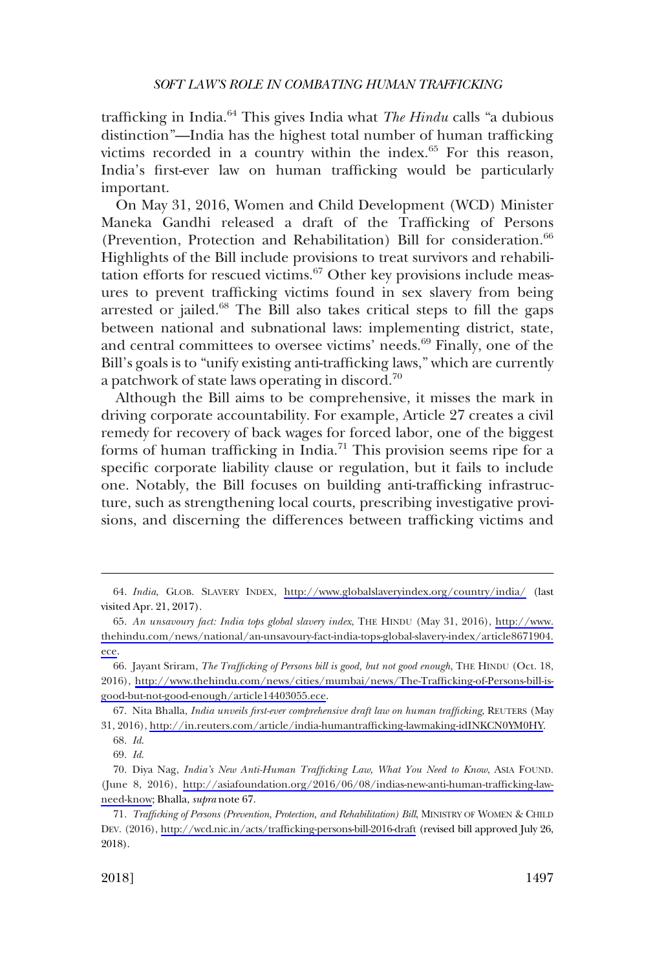trafficking in India.64 This gives India what *The Hindu* calls "a dubious distinction"—India has the highest total number of human trafficking victims recorded in a country within the index.<sup>65</sup> For this reason, India's first-ever law on human trafficking would be particularly important.

On May 31, 2016, Women and Child Development (WCD) Minister Maneka Gandhi released a draft of the Trafficking of Persons (Prevention, Protection and Rehabilitation) Bill for consideration.<sup>66</sup> Highlights of the Bill include provisions to treat survivors and rehabilitation efforts for rescued victims.<sup>67</sup> Other key provisions include measures to prevent trafficking victims found in sex slavery from being arrested or jailed.<sup>68</sup> The Bill also takes critical steps to fill the gaps between national and subnational laws: implementing district, state, and central committees to oversee victims' needs.<sup>69</sup> Finally, one of the Bill's goals is to "unify existing anti-trafficking laws," which are currently a patchwork of state laws operating in discord.70

Although the Bill aims to be comprehensive, it misses the mark in driving corporate accountability. For example, Article 27 creates a civil remedy for recovery of back wages for forced labor, one of the biggest forms of human trafficking in India.<sup>71</sup> This provision seems ripe for a specific corporate liability clause or regulation, but it fails to include one. Notably, the Bill focuses on building anti-trafficking infrastructure, such as strengthening local courts, prescribing investigative provisions, and discerning the differences between trafficking victims and

<sup>64.</sup> *India*, GLOB. SLAVERY INDEX, <http://www.globalslaveryindex.org/country/india/>(last visited Apr. 21, 2017).

*An unsavoury fact: India tops global slavery index*, THE HINDU (May 31, 2016), [http://www.](http://www.thehindu.com/news/national/an-unsavoury-fact-india-tops-global-slavery-index/article8671904.ece)  65. [thehindu.com/news/national/an-unsavoury-fact-india-tops-global-slavery-index/article8671904.](http://www.thehindu.com/news/national/an-unsavoury-fact-india-tops-global-slavery-index/article8671904.ece)  [ece.](http://www.thehindu.com/news/national/an-unsavoury-fact-india-tops-global-slavery-index/article8671904.ece)

<sup>66.</sup> Jayant Sriram, *The Trafficking of Persons bill is good, but not good enough*, THE HINDU (Oct. 18, 2016), [http://www.thehindu.com/news/cities/mumbai/news/The-Trafficking-of-Persons-bill-is](http://www.thehindu.com/news/cities/mumbai/news/The-Trafficking-of-Persons-bill-is-good-but-not-good-enough/article14403055.ece)[good-but-not-good-enough/article14403055.ece](http://www.thehindu.com/news/cities/mumbai/news/The-Trafficking-of-Persons-bill-is-good-but-not-good-enough/article14403055.ece).

<sup>67.</sup> Nita Bhalla, *India unveils first-ever comprehensive draft law on human trafficking*, REUTERS (May 31, 2016),<http://in.reuters.com/article/india-humantrafficking-lawmaking-idINKCN0YM0HY>.

*Id*. 68.

*Id*. 69.

<sup>70.</sup> Diya Nag, *India's New Anti-Human Trafficking Law, What You Need to Know*, ASIA FOUND. (June 8, 2016), [http://asiafoundation.org/2016/06/08/indias-new-anti-human-trafficking-law](http://asiafoundation.org/2016/06/08/indias-new-anti-human-trafficking-law-need-know)[need-know;](http://asiafoundation.org/2016/06/08/indias-new-anti-human-trafficking-law-need-know) Bhalla, *supra* note 67.

*Trafficking of Persons (Prevention, Protection, and Rehabilitation) Bill*, MINISTRY OF WOMEN & CHILD 71. DEV. (2016),<http://wcd.nic.in/acts/trafficking-persons-bill-2016-draft>(revised bill approved July 26, 2018).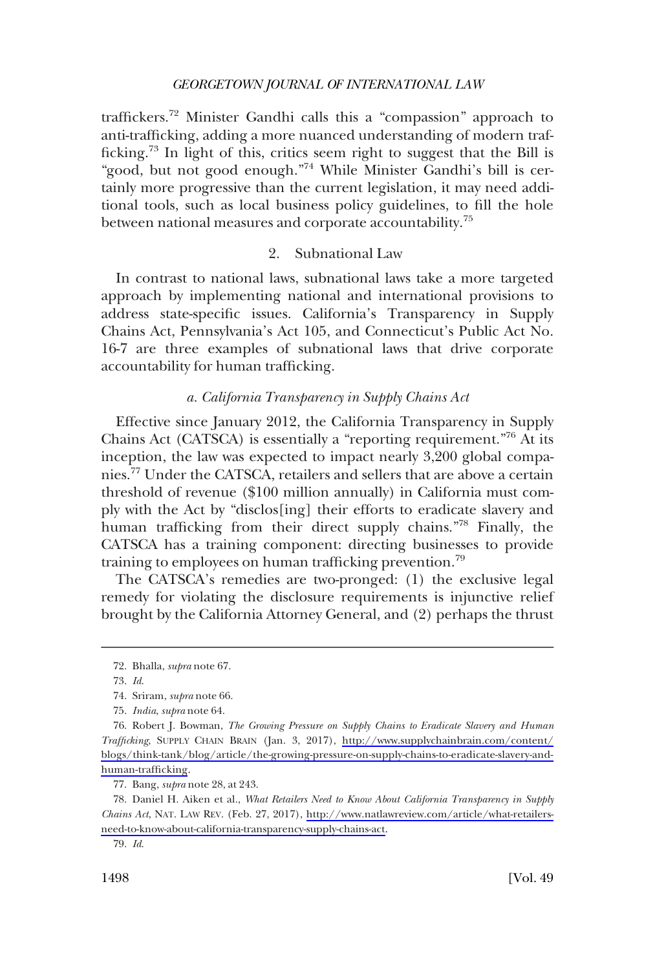<span id="page-11-0"></span>traffickers.<sup>72</sup> Minister Gandhi calls this a "compassion" approach to anti-trafficking, adding a more nuanced understanding of modern trafficking.73 In light of this, critics seem right to suggest that the Bill is "good, but not good enough."<sup>74</sup> While Minister Gandhi's bill is certainly more progressive than the current legislation, it may need additional tools, such as local business policy guidelines, to fill the hole between national measures and corporate accountability.<sup>75</sup>

### 2. Subnational Law

In contrast to national laws, subnational laws take a more targeted approach by implementing national and international provisions to address state-specific issues. California's Transparency in Supply Chains Act, Pennsylvania's Act 105, and Connecticut's Public Act No. 16-7 are three examples of subnational laws that drive corporate accountability for human trafficking.

### *a. California Transparency in Supply Chains Act*

Effective since January 2012, the California Transparency in Supply Chains Act (CATSCA) is essentially a "reporting requirement."<sup>76</sup> At its inception, the law was expected to impact nearly 3,200 global companies.<sup>77</sup> Under the CATSCA, retailers and sellers that are above a certain threshold of revenue (\$100 million annually) in California must comply with the Act by "disclos[ing] their efforts to eradicate slavery and human trafficking from their direct supply chains."78 Finally, the CATSCA has a training component: directing businesses to provide training to employees on human trafficking prevention.<sup>79</sup>

The CATSCA's remedies are two-pronged: (1) the exclusive legal remedy for violating the disclosure requirements is injunctive relief brought by the California Attorney General, and (2) perhaps the thrust

Bang, *supra* note 28, at 243. 77.

Bhalla, *supra* note 67. 72.

*Id*. 73.

<sup>74.</sup> Sriram, *supra* note 66.

*India*, *supra* note 64. 75.

<sup>76.</sup> Robert J. Bowman, *The Growing Pressure on Supply Chains to Eradicate Slavery and Human Trafficking*, SUPPLY CHAIN BRAIN (Jan. 3, 2017), [http://www.supplychainbrain.com/content/](http://www.supplychainbrain.com/content/blogs/think-tank/blog/article/the-growing-pressure-on-supply-chains-to-eradicate-slavery-and-human-trafficking) [blogs/think-tank/blog/article/the-growing-pressure-on-supply-chains-to-eradicate-slavery-and](http://www.supplychainbrain.com/content/blogs/think-tank/blog/article/the-growing-pressure-on-supply-chains-to-eradicate-slavery-and-human-trafficking)[human-trafficking](http://www.supplychainbrain.com/content/blogs/think-tank/blog/article/the-growing-pressure-on-supply-chains-to-eradicate-slavery-and-human-trafficking).

Daniel H. Aiken et al., *What Retailers Need to Know About California Transparency in Supply*  78. *Chains Act*, NAT. LAW REV. (Feb. 27, 2017), [http://www.natlawreview.com/article/what-retailers](http://www.natlawreview.com/article/what-retailers-need-to-know-about-california-transparency-supply-chains-act)[need-to-know-about-california-transparency-supply-chains-act.](http://www.natlawreview.com/article/what-retailers-need-to-know-about-california-transparency-supply-chains-act)

*Id*. 79.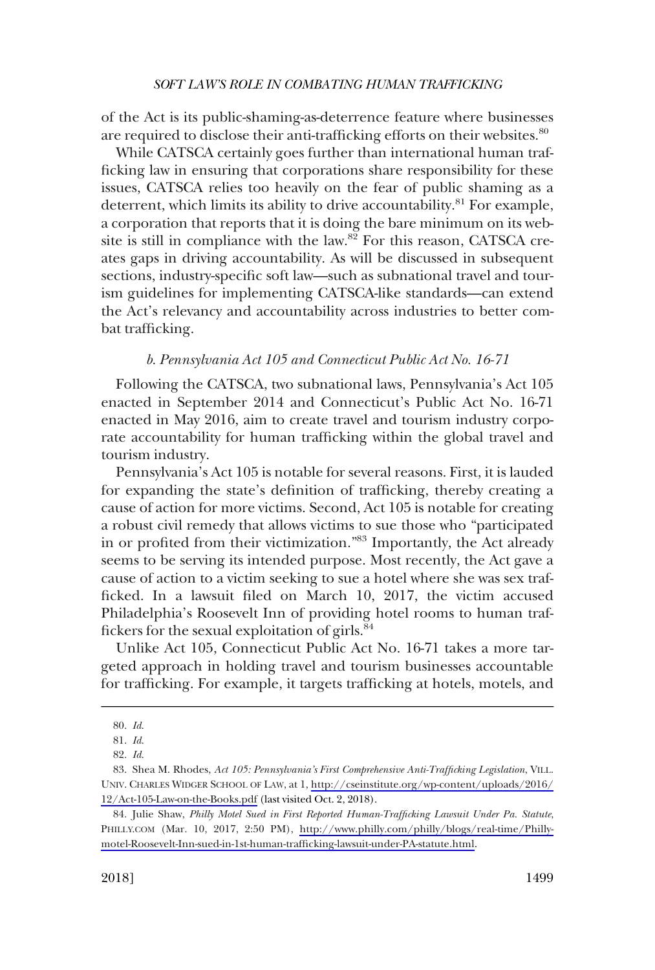<span id="page-12-0"></span>of the Act is its public-shaming-as-deterrence feature where businesses are required to disclose their anti-trafficking efforts on their websites.<sup>80</sup>

While CATSCA certainly goes further than international human trafficking law in ensuring that corporations share responsibility for these issues, CATSCA relies too heavily on the fear of public shaming as a deterrent, which limits its ability to drive accountability.<sup>81</sup> For example, a corporation that reports that it is doing the bare minimum on its website is still in compliance with the law. $8\overline{2}$  For this reason, CATSCA creates gaps in driving accountability. As will be discussed in subsequent sections, industry-specific soft law—such as subnational travel and tourism guidelines for implementing CATSCA-like standards—can extend the Act's relevancy and accountability across industries to better combat trafficking.

### *b. Pennsylvania Act 105 and Connecticut Public Act No. 16-71*

Following the CATSCA, two subnational laws, Pennsylvania's Act 105 enacted in September 2014 and Connecticut's Public Act No. 16-71 enacted in May 2016, aim to create travel and tourism industry corporate accountability for human trafficking within the global travel and tourism industry.

Pennsylvania's Act 105 is notable for several reasons. First, it is lauded for expanding the state's definition of trafficking, thereby creating a cause of action for more victims. Second, Act 105 is notable for creating a robust civil remedy that allows victims to sue those who "participated in or profited from their victimization."83 Importantly, the Act already seems to be serving its intended purpose. Most recently, the Act gave a cause of action to a victim seeking to sue a hotel where she was sex trafficked. In a lawsuit filed on March 10, 2017, the victim accused Philadelphia's Roosevelt Inn of providing hotel rooms to human traffickers for the sexual exploitation of girls.84

Unlike Act 105, Connecticut Public Act No. 16-71 takes a more targeted approach in holding travel and tourism businesses accountable for trafficking. For example, it targets trafficking at hotels, motels, and

*Id*. 80.

*Id*. 81.

*Id*. 82.

Shea M. Rhodes, *Act 105: Pennsylvania's First Comprehensive Anti-Trafficking Legislation*, VILL. 83. UNIV. CHARLES WIDGER SCHOOL OF LAW, at 1, [http://cseinstitute.org/wp-content/uploads/2016/](http://cseinstitute.org/wp-content/uploads/2016/12/Act-105-Law-on-the-Books.pdf) [12/Act-105-Law-on-the-Books.pdf](http://cseinstitute.org/wp-content/uploads/2016/12/Act-105-Law-on-the-Books.pdf) (last visited Oct. 2, 2018).

<sup>84.</sup> Julie Shaw, *Philly Motel Sued in First Reported Human-Trafficking Lawsuit Under Pa. Statute*, PHILLY.COM (Mar. 10, 2017, 2:50 PM), [http://www.philly.com/philly/blogs/real-time/Philly](http://www.philly.com/philly/blogs/real-time/Philly-motel-Roosevelt-Inn-sued-in-1st-human-trafficking-lawsuit-under-PA-statute.html)[motel-Roosevelt-Inn-sued-in-1st-human-trafficking-lawsuit-under-PA-statute.html](http://www.philly.com/philly/blogs/real-time/Philly-motel-Roosevelt-Inn-sued-in-1st-human-trafficking-lawsuit-under-PA-statute.html).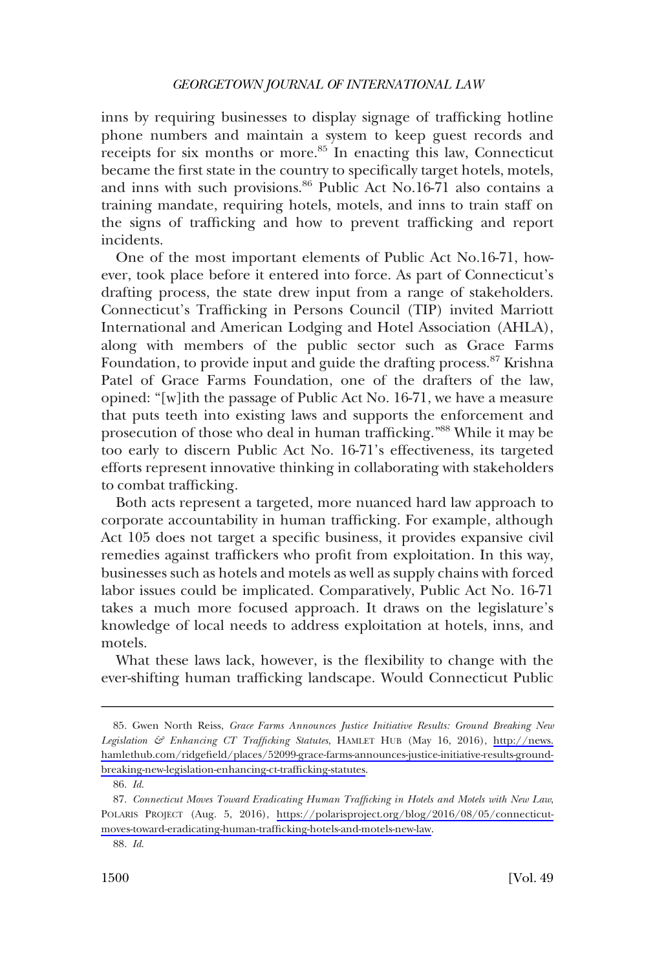inns by requiring businesses to display signage of trafficking hotline phone numbers and maintain a system to keep guest records and receipts for six months or more.<sup>85</sup> In enacting this law, Connecticut became the first state in the country to specifically target hotels, motels, and inns with such provisions.<sup>86</sup> Public Act No.16-71 also contains a training mandate, requiring hotels, motels, and inns to train staff on the signs of trafficking and how to prevent trafficking and report incidents.

One of the most important elements of Public Act No.16-71, however, took place before it entered into force. As part of Connecticut's drafting process, the state drew input from a range of stakeholders. Connecticut's Trafficking in Persons Council (TIP) invited Marriott International and American Lodging and Hotel Association (AHLA), along with members of the public sector such as Grace Farms Foundation, to provide input and guide the drafting process.<sup>87</sup> Krishna Patel of Grace Farms Foundation, one of the drafters of the law, opined: "[w]ith the passage of Public Act No. 16-71, we have a measure that puts teeth into existing laws and supports the enforcement and prosecution of those who deal in human trafficking."<sup>88</sup> While it may be too early to discern Public Act No. 16-71's effectiveness, its targeted efforts represent innovative thinking in collaborating with stakeholders to combat trafficking.

Both acts represent a targeted, more nuanced hard law approach to corporate accountability in human trafficking. For example, although Act 105 does not target a specific business, it provides expansive civil remedies against traffickers who profit from exploitation. In this way, businesses such as hotels and motels as well as supply chains with forced labor issues could be implicated. Comparatively, Public Act No. 16-71 takes a much more focused approach. It draws on the legislature's knowledge of local needs to address exploitation at hotels, inns, and motels.

What these laws lack, however, is the flexibility to change with the ever-shifting human trafficking landscape. Would Connecticut Public

Gwen North Reiss, *Grace Farms Announces Justice Initiative Results: Ground Breaking New*  85. *Legislation & Enhancing CT Trafficking Statutes*, HAMLET HUB (May 16, 2016), [http://news.](http://news.hamlethub.com/ridgefield/places/52099-grace-farms-announces-justice-initiative-results-ground-breaking-new-legislation-enhancing-ct-trafficking-statutes)  [hamlethub.com/ridgefield/places/52099-grace-farms-announces-justice-initiative-results-ground](http://news.hamlethub.com/ridgefield/places/52099-grace-farms-announces-justice-initiative-results-ground-breaking-new-legislation-enhancing-ct-trafficking-statutes)[breaking-new-legislation-enhancing-ct-trafficking-statutes](http://news.hamlethub.com/ridgefield/places/52099-grace-farms-announces-justice-initiative-results-ground-breaking-new-legislation-enhancing-ct-trafficking-statutes).

*Id*. 86.

*Connecticut Moves Toward Eradicating Human Trafficking in Hotels and Motels with New Law*, 87. POLARIS PROJECT (Aug. 5, 2016), [https://polarisproject.org/blog/2016/08/05/connecticut](https://polarisproject.org/blog/2016/08/05/connecticut-moves-toward-eradicating-human-trafficking-hotels-and-motels-new-law)[moves-toward-eradicating-human-trafficking-hotels-and-motels-new-law](https://polarisproject.org/blog/2016/08/05/connecticut-moves-toward-eradicating-human-trafficking-hotels-and-motels-new-law).

*Id*. 88.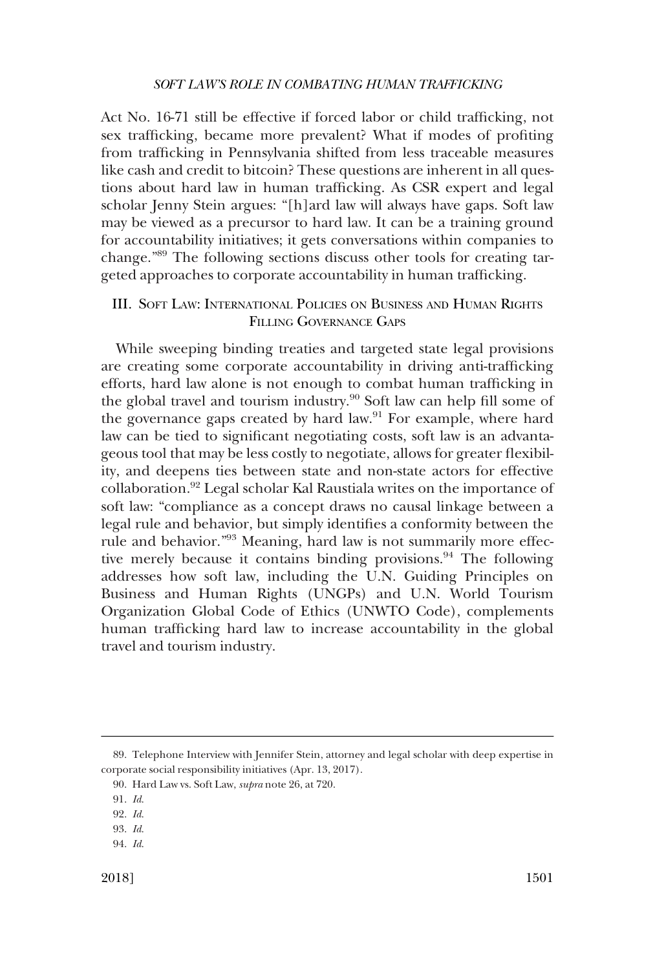<span id="page-14-0"></span>Act No. 16-71 still be effective if forced labor or child trafficking, not sex trafficking, became more prevalent? What if modes of profiting from trafficking in Pennsylvania shifted from less traceable measures like cash and credit to bitcoin? These questions are inherent in all questions about hard law in human trafficking. As CSR expert and legal scholar Jenny Stein argues: "[h]ard law will always have gaps. Soft law may be viewed as a precursor to hard law. It can be a training ground for accountability initiatives; it gets conversations within companies to change."<sup>89</sup> The following sections discuss other tools for creating targeted approaches to corporate accountability in human trafficking.

# III. SOFT LAW: INTERNATIONAL POLICIES ON BUSINESS AND HUMAN RIGHTS FILLING GOVERNANCE GAPS

While sweeping binding treaties and targeted state legal provisions are creating some corporate accountability in driving anti-trafficking efforts, hard law alone is not enough to combat human trafficking in the global travel and tourism industry.<sup>90</sup> Soft law can help fill some of the governance gaps created by hard law.<sup>91</sup> For example, where hard law can be tied to significant negotiating costs, soft law is an advantageous tool that may be less costly to negotiate, allows for greater flexibility, and deepens ties between state and non-state actors for effective collaboration.92 Legal scholar Kal Raustiala writes on the importance of soft law: "compliance as a concept draws no causal linkage between a legal rule and behavior, but simply identifies a conformity between the rule and behavior."<sup>93</sup> Meaning, hard law is not summarily more effective merely because it contains binding provisions.<sup>94</sup> The following addresses how soft law, including the U.N. Guiding Principles on Business and Human Rights (UNGPs) and U.N. World Tourism Organization Global Code of Ethics (UNWTO Code), complements human trafficking hard law to increase accountability in the global travel and tourism industry.

Telephone Interview with Jennifer Stein, attorney and legal scholar with deep expertise in 89. corporate social responsibility initiatives (Apr. 13, 2017).

Hard Law vs. Soft Law, *supra* note 26, at 720. 90.

*Id*. 91.

*Id*. 92.

*Id*. 93. *Id*. 94.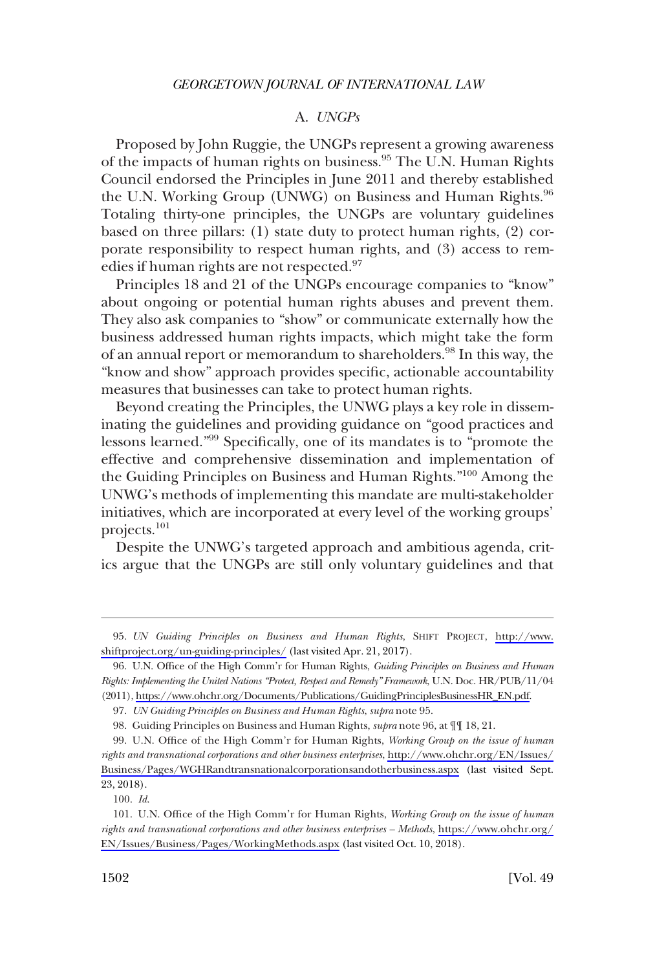### A. *UNGPs*

<span id="page-15-0"></span>Proposed by John Ruggie, the UNGPs represent a growing awareness of the impacts of human rights on business.<sup>95</sup> The U.N. Human Rights Council endorsed the Principles in June 2011 and thereby established the U.N. Working Group (UNWG) on Business and Human Rights. $96$ Totaling thirty-one principles, the UNGPs are voluntary guidelines based on three pillars: (1) state duty to protect human rights, (2) corporate responsibility to respect human rights, and (3) access to remedies if human rights are not respected.<sup>97</sup>

Principles 18 and 21 of the UNGPs encourage companies to "know" about ongoing or potential human rights abuses and prevent them. They also ask companies to "show" or communicate externally how the business addressed human rights impacts, which might take the form of an annual report or memorandum to shareholders.<sup>98</sup> In this way, the "know and show" approach provides specific, actionable accountability measures that businesses can take to protect human rights.

Beyond creating the Principles, the UNWG plays a key role in disseminating the guidelines and providing guidance on "good practices and lessons learned."99 Specifically, one of its mandates is to "promote the effective and comprehensive dissemination and implementation of the Guiding Principles on Business and Human Rights."<sup>100</sup> Among the UNWG's methods of implementing this mandate are multi-stakeholder initiatives, which are incorporated at every level of the working groups' projects.101

Despite the UNWG's targeted approach and ambitious agenda, critics argue that the UNGPs are still only voluntary guidelines and that

*UN Guiding Principles on Business and Human Rights*, SHIFT PROJECT, [http://www.](http://www.shiftproject.org/un-guiding-principles/)  95. [shiftproject.org/un-guiding-principles/](http://www.shiftproject.org/un-guiding-principles/) (last visited Apr. 21, 2017).

U.N. Office of the High Comm'r for Human Rights, *Guiding Principles on Business and Human*  96. *Rights: Implementing the United Nations "Protect, Respect and Remedy" Framework*, U.N. Doc. HR/PUB/11/04 (2011), [https://www.ohchr.org/Documents/Publications/GuidingPrinciplesBusinessHR\\_EN.pdf.](https://www.ohchr.org/Documents/Publications/GuidingPrinciplesBusinessHR_EN.pdf)

*UN Guiding Principles on Business and Human Rights*, *supra* note 95. 97.

<sup>98.</sup> Guiding Principles on Business and Human Rights, *supra* note 96, at  $\P\P$  18, 21.

U.N. Office of the High Comm'r for Human Rights, *Working Group on the issue of human*  99. *rights and transnational corporations and other business enterprises*, [http://www.ohchr.org/EN/Issues/](http://www.ohchr.org/EN/Issues/Business/Pages/WGHRandtransnationalcorporationsandotherbusiness.aspx) [Business/Pages/WGHRandtransnationalcorporationsandotherbusiness.aspx](http://www.ohchr.org/EN/Issues/Business/Pages/WGHRandtransnationalcorporationsandotherbusiness.aspx) (last visited Sept. 23, 2018).

*Id*. 100.

<sup>101.</sup> U.N. Office of the High Comm'r for Human Rights, *Working Group on the issue of human rights and transnational corporations and other business enterprises – Methods*, [https://www.ohchr.org/](https://www.ohchr.org/EN/Issues/Business/Pages/WorkingMethods.aspx) [EN/Issues/Business/Pages/WorkingMethods.aspx](https://www.ohchr.org/EN/Issues/Business/Pages/WorkingMethods.aspx) (last visited Oct. 10, 2018).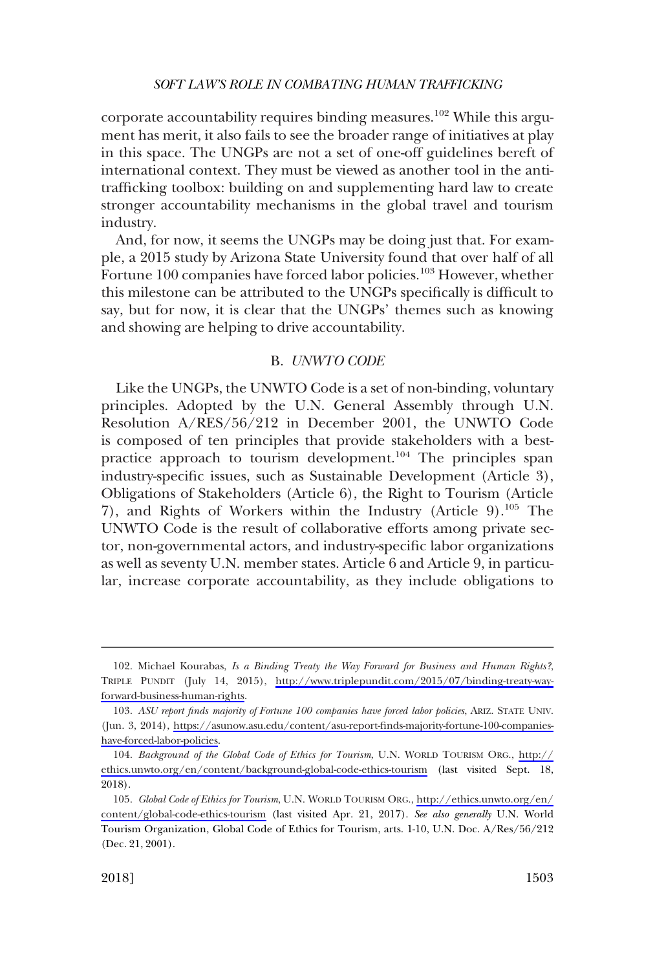<span id="page-16-0"></span>corporate accountability requires binding measures.<sup>102</sup> While this argument has merit, it also fails to see the broader range of initiatives at play in this space. The UNGPs are not a set of one-off guidelines bereft of international context. They must be viewed as another tool in the antitrafficking toolbox: building on and supplementing hard law to create stronger accountability mechanisms in the global travel and tourism industry.

And, for now, it seems the UNGPs may be doing just that. For example, a 2015 study by Arizona State University found that over half of all Fortune 100 companies have forced labor policies.<sup>103</sup> However, whether this milestone can be attributed to the UNGPs specifically is difficult to say, but for now, it is clear that the UNGPs' themes such as knowing and showing are helping to drive accountability.

### B. *UNWTO CODE*

Like the UNGPs, the UNWTO Code is a set of non-binding, voluntary principles. Adopted by the U.N. General Assembly through U.N. Resolution A/RES/56/212 in December 2001, the UNWTO Code is composed of ten principles that provide stakeholders with a bestpractice approach to tourism development.<sup>104</sup> The principles span industry-specific issues, such as Sustainable Development (Article 3), Obligations of Stakeholders (Article 6), the Right to Tourism (Article 7), and Rights of Workers within the Industry (Article 9).<sup>105</sup> The UNWTO Code is the result of collaborative efforts among private sector, non-governmental actors, and industry-specific labor organizations as well as seventy U.N. member states. Article 6 and Article 9, in particular, increase corporate accountability, as they include obligations to

<sup>102.</sup> Michael Kourabas, *Is a Binding Treaty the Way Forward for Business and Human Rights?*, TRIPLE PUNDIT (July 14, 2015), [http://www.triplepundit.com/2015/07/binding-treaty-way](http://www.triplepundit.com/2015/07/binding-treaty-way-forward-business-human-rights)[forward-business-human-rights](http://www.triplepundit.com/2015/07/binding-treaty-way-forward-business-human-rights).

*ASU report finds majority of Fortune 100 companies have forced labor policies*, ARIZ. STATE UNIV. 103. (Jun. 3, 2014), [https://asunow.asu.edu/content/asu-report-finds-majority-fortune-100-companies](https://asunow.asu.edu/content/asu-report-finds-majority-fortune-100-companies-have-forced-labor-policies)[have-forced-labor-policies.](https://asunow.asu.edu/content/asu-report-finds-majority-fortune-100-companies-have-forced-labor-policies)

*Background of the Global Code of Ethics for Tourism*, U.N. WORLD TOURISM ORG., [http://](http://ethics.unwto.org/en/content/background-global-code-ethics-tourism) 104. [ethics.unwto.org/en/content/background-global-code-ethics-tourism](http://ethics.unwto.org/en/content/background-global-code-ethics-tourism) (last visited Sept. 18, 2018).

*Global Code of Ethics for Tourism*, U.N. WORLD TOURISM ORG., [http://ethics.unwto.org/en/](http://ethics.unwto.org/en/content/global-code-ethics-tourism) 105. [content/global-code-ethics-tourism](http://ethics.unwto.org/en/content/global-code-ethics-tourism) (last visited Apr. 21, 2017). *See also generally* U.N. World Tourism Organization, Global Code of Ethics for Tourism, arts. 1-10, U.N. Doc. A/Res/56/212 (Dec. 21, 2001).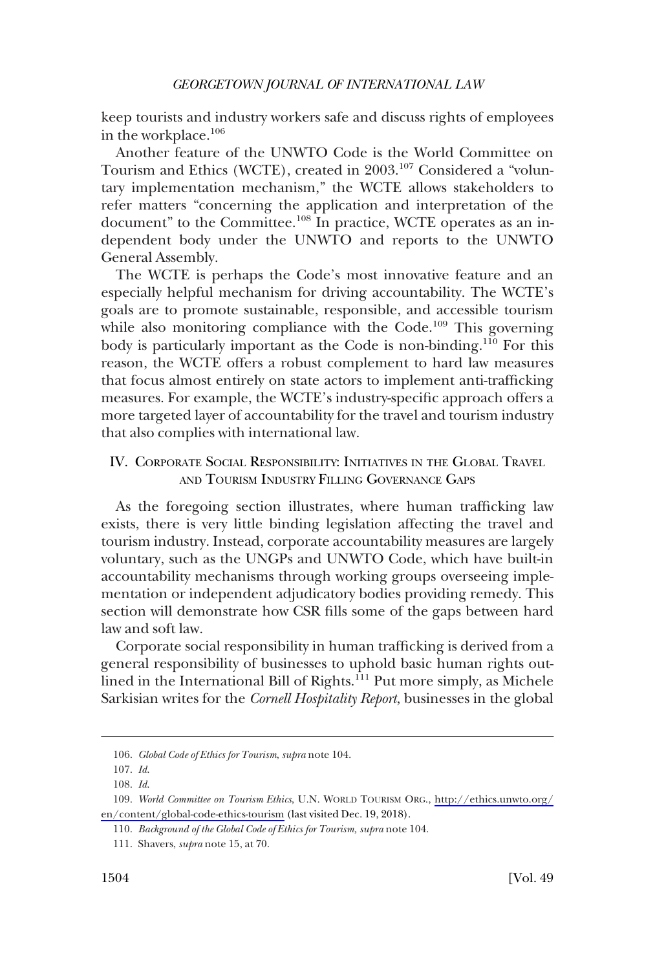<span id="page-17-0"></span>keep tourists and industry workers safe and discuss rights of employees in the workplace.<sup>106</sup>

Another feature of the UNWTO Code is the World Committee on Tourism and Ethics (WCTE), created in 2003.<sup>107</sup> Considered a "voluntary implementation mechanism," the WCTE allows stakeholders to refer matters "concerning the application and interpretation of the document" to the Committee.<sup>108</sup> In practice, WCTE operates as an independent body under the UNWTO and reports to the UNWTO General Assembly.

The WCTE is perhaps the Code's most innovative feature and an especially helpful mechanism for driving accountability. The WCTE's goals are to promote sustainable, responsible, and accessible tourism while also monitoring compliance with the Code.<sup>109</sup> This governing body is particularly important as the Code is non-binding.<sup>110</sup> For this reason, the WCTE offers a robust complement to hard law measures that focus almost entirely on state actors to implement anti-trafficking measures. For example, the WCTE's industry-specific approach offers a more targeted layer of accountability for the travel and tourism industry that also complies with international law.

# IV. CORPORATE SOCIAL RESPONSIBILITY: INITIATIVES IN THE GLOBAL TRAVEL AND TOURISM INDUSTRY FILLING GOVERNANCE GAPS

As the foregoing section illustrates, where human trafficking law exists, there is very little binding legislation affecting the travel and tourism industry. Instead, corporate accountability measures are largely voluntary, such as the UNGPs and UNWTO Code, which have built-in accountability mechanisms through working groups overseeing implementation or independent adjudicatory bodies providing remedy. This section will demonstrate how CSR fills some of the gaps between hard law and soft law.

Corporate social responsibility in human trafficking is derived from a general responsibility of businesses to uphold basic human rights outlined in the International Bill of Rights.<sup>111</sup> Put more simply, as Michele Sarkisian writes for the *Cornell Hospitality Report*, businesses in the global

*Global Code of Ethics for Tourism*, *supra* note 104. 106.

*Id*. 107.

*Id*. 108.

*World Committee on Tourism Ethics*, U.N. WORLD TOURISM ORG., [http://ethics.unwto.org/](http://ethics.unwto.org/en/content/global-code-ethics-tourism)  109. [en/content/global-code-ethics-tourism](http://ethics.unwto.org/en/content/global-code-ethics-tourism) (last visited Dec. 19, 2018).

<sup>110.</sup> Background of the Global Code of Ethics for Tourism, supra note 104.

Shavers, *supra* note 15, at 70. 111.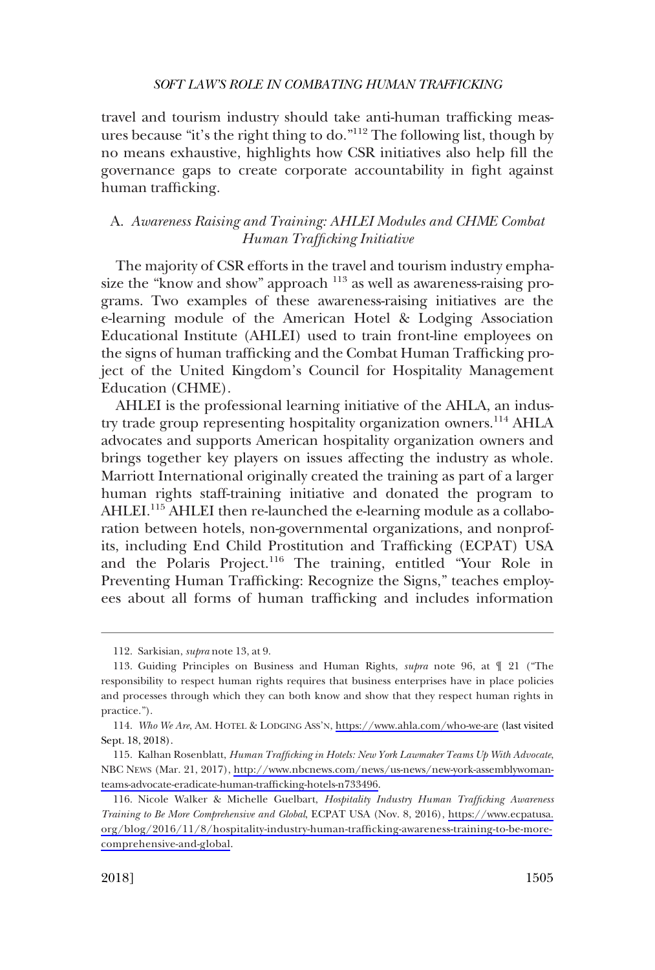<span id="page-18-0"></span>travel and tourism industry should take anti-human trafficking measures because "it's the right thing to do."112 The following list, though by no means exhaustive, highlights how CSR initiatives also help fill the governance gaps to create corporate accountability in fight against human trafficking.

# A. *Awareness Raising and Training: AHLEI Modules and CHME Combat Human Trafficking Initiative*

The majority of CSR efforts in the travel and tourism industry emphasize the "know and show" approach  $^{113}$  as well as awareness-raising programs. Two examples of these awareness-raising initiatives are the e-learning module of the American Hotel & Lodging Association Educational Institute (AHLEI) used to train front-line employees on the signs of human trafficking and the Combat Human Trafficking project of the United Kingdom's Council for Hospitality Management Education (CHME).

AHLEI is the professional learning initiative of the AHLA, an industry trade group representing hospitality organization owners.<sup>114</sup> AHLA advocates and supports American hospitality organization owners and brings together key players on issues affecting the industry as whole. Marriott International originally created the training as part of a larger human rights staff-training initiative and donated the program to AHLEI.<sup>115</sup> AHLEI then re-launched the e-learning module as a collaboration between hotels, non-governmental organizations, and nonprofits, including End Child Prostitution and Trafficking (ECPAT) USA and the Polaris Project.<sup>116</sup> The training, entitled "Your Role in Preventing Human Trafficking: Recognize the Signs," teaches employees about all forms of human trafficking and includes information

Sarkisian, *supra* note 13, at 9. 112.

<sup>113.</sup> Guiding Principles on Business and Human Rights, *supra* note 96, at  $\parallel$  21 ("The responsibility to respect human rights requires that business enterprises have in place policies and processes through which they can both know and show that they respect human rights in practice.").

<sup>114.</sup> Who We Are, AM. HOTEL & LODGING Ass'N,<https://www.ahla.com/who-we-are> (last visited Sept. 18, 2018).

<sup>115.</sup> Kalhan Rosenblatt, *Human Trafficking in Hotels: New York Lawmaker Teams Up With Advocate*, NBC NEWS (Mar. 21, 2017), [http://www.nbcnews.com/news/us-news/new-york-assemblywoman](http://www.nbcnews.com/news/us-news/new-york-assemblywoman-teams-advocate-eradicate-human-trafficking-hotels-n733496)[teams-advocate-eradicate-human-trafficking-hotels-n733496.](http://www.nbcnews.com/news/us-news/new-york-assemblywoman-teams-advocate-eradicate-human-trafficking-hotels-n733496)

Nicole Walker & Michelle Guelbart, *Hospitality Industry Human Trafficking Awareness*  116. *Training to Be More Comprehensive and Global*, ECPAT USA (Nov. 8, 2016), [https://www.ecpatusa.](https://www.ecpatusa.org/blog/2016/11/8/hospitality-industry-human-trafficking-awareness-training-to-be-more-comprehensive-and-global) [org/blog/2016/11/8/hospitality-industry-human-trafficking-awareness-training-to-be-more](https://www.ecpatusa.org/blog/2016/11/8/hospitality-industry-human-trafficking-awareness-training-to-be-more-comprehensive-and-global)[comprehensive-and-global](https://www.ecpatusa.org/blog/2016/11/8/hospitality-industry-human-trafficking-awareness-training-to-be-more-comprehensive-and-global).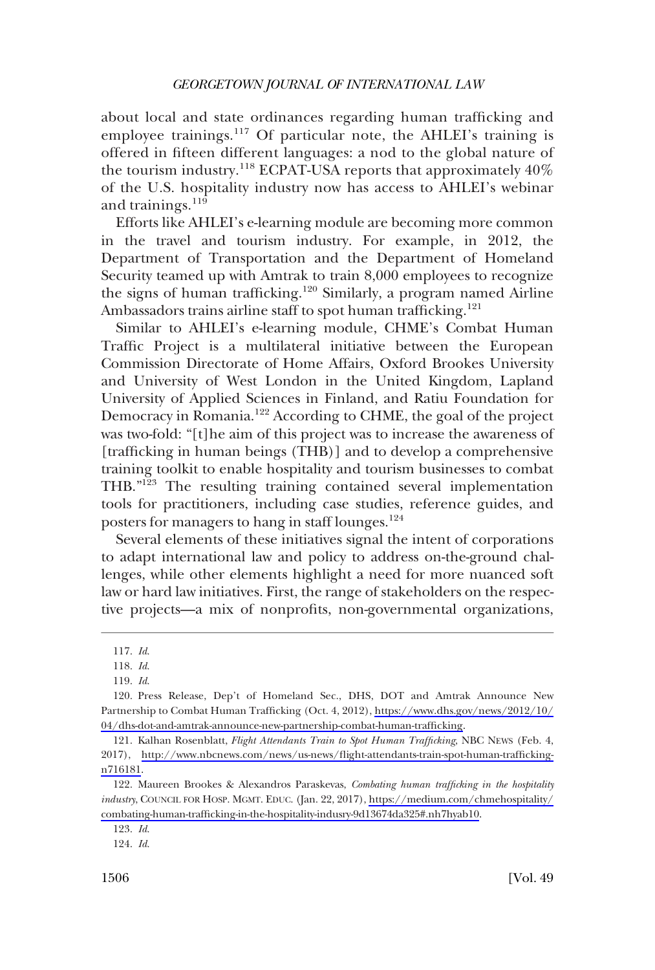about local and state ordinances regarding human trafficking and employee trainings.<sup>117</sup> Of particular note, the AHLEI's training is offered in fifteen different languages: a nod to the global nature of the tourism industry.<sup>118</sup> ECPAT-USA reports that approximately  $40\%$ of the U.S. hospitality industry now has access to AHLEI's webinar and trainings.<sup>119</sup>

Efforts like AHLEI's e-learning module are becoming more common in the travel and tourism industry. For example, in 2012, the Department of Transportation and the Department of Homeland Security teamed up with Amtrak to train 8,000 employees to recognize the signs of human trafficking.<sup>120</sup> Similarly, a program named Airline Ambassadors trains airline staff to spot human trafficking.<sup>121</sup>

Similar to AHLEI's e-learning module, CHME's Combat Human Traffic Project is a multilateral initiative between the European Commission Directorate of Home Affairs, Oxford Brookes University and University of West London in the United Kingdom, Lapland University of Applied Sciences in Finland, and Ratiu Foundation for Democracy in Romania.<sup>122</sup> According to CHME, the goal of the project was two-fold: "[t]he aim of this project was to increase the awareness of [trafficking in human beings (THB)] and to develop a comprehensive training toolkit to enable hospitality and tourism businesses to combat THB."<sup>123</sup> The resulting training contained several implementation tools for practitioners, including case studies, reference guides, and posters for managers to hang in staff lounges.<sup>124</sup>

Several elements of these initiatives signal the intent of corporations to adapt international law and policy to address on-the-ground challenges, while other elements highlight a need for more nuanced soft law or hard law initiatives. First, the range of stakeholders on the respective projects—a mix of nonprofits, non-governmental organizations,

*Id*. 117.

*Id*. 118.

*Id*. 119.

<sup>120.</sup> Press Release, Dep't of Homeland Sec., DHS, DOT and Amtrak Announce New Partnership to Combat Human Trafficking (Oct. 4, 2012), [https://www.dhs.gov/news/2012/10/](https://www.dhs.gov/news/2012/10/04/dhs-dot-and-amtrak-announce-new-partnership-combat-human-trafficking)  [04/dhs-dot-and-amtrak-announce-new-partnership-combat-human-trafficking.](https://www.dhs.gov/news/2012/10/04/dhs-dot-and-amtrak-announce-new-partnership-combat-human-trafficking)

<sup>121.</sup> Kalhan Rosenblatt, *Flight Attendants Train to Spot Human Trafficking*, NBC NEWS (Feb. 4, 2017), [http://www.nbcnews.com/news/us-news/flight-attendants-train-spot-human-trafficking](http://www.nbcnews.com/news/us-news/flight-attendants-train-spot-human-trafficking-n716181)[n716181.](http://www.nbcnews.com/news/us-news/flight-attendants-train-spot-human-trafficking-n716181)

Maureen Brookes & Alexandros Paraskevas, *Combating human trafficking in the hospitality*  122. *industry*, COUNCIL FOR HOSP. MGMT. EDUC. (Jan. 22, 2017), [https://medium.com/chmehospitality/](https://medium.com/chmehospitality/combating-human-trafficking-in-the-hospitality-indusry-9d13674da325#.nh7hyab10)  [combating-human-trafficking-in-the-hospitality-indusry-9d13674da325#.nh7hyab10.](https://medium.com/chmehospitality/combating-human-trafficking-in-the-hospitality-indusry-9d13674da325#.nh7hyab10)

*Id*. 123.

*Id*. 124.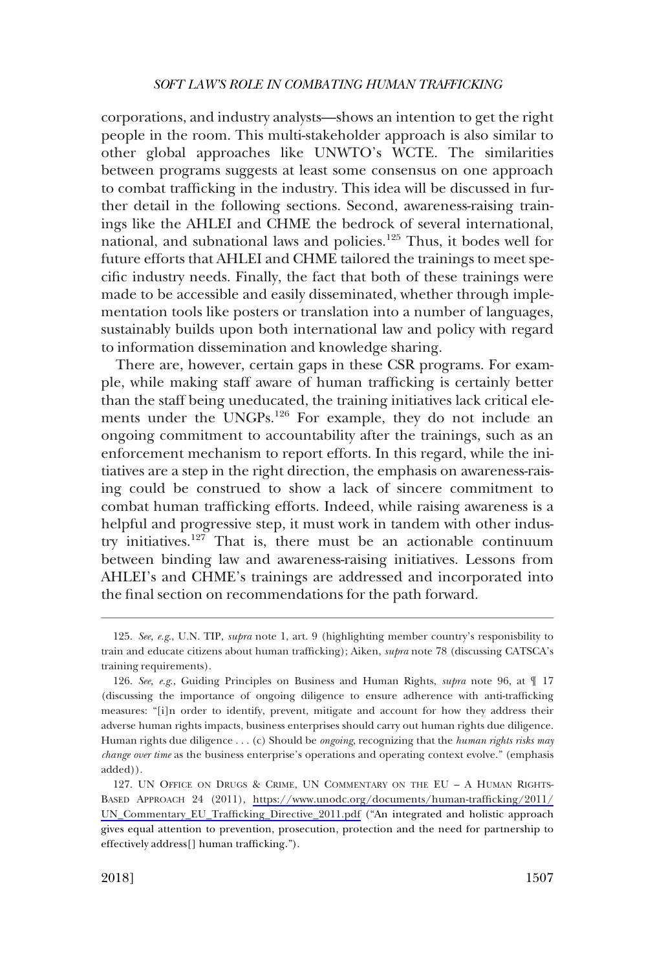corporations, and industry analysts—shows an intention to get the right people in the room. This multi-stakeholder approach is also similar to other global approaches like UNWTO's WCTE. The similarities between programs suggests at least some consensus on one approach to combat trafficking in the industry. This idea will be discussed in further detail in the following sections. Second, awareness-raising trainings like the AHLEI and CHME the bedrock of several international, national, and subnational laws and policies.<sup>125</sup> Thus, it bodes well for future efforts that AHLEI and CHME tailored the trainings to meet specific industry needs. Finally, the fact that both of these trainings were made to be accessible and easily disseminated, whether through implementation tools like posters or translation into a number of languages, sustainably builds upon both international law and policy with regard to information dissemination and knowledge sharing.

There are, however, certain gaps in these CSR programs. For example, while making staff aware of human trafficking is certainly better than the staff being uneducated, the training initiatives lack critical elements under the UNGPs.<sup>126</sup> For example, they do not include an ongoing commitment to accountability after the trainings, such as an enforcement mechanism to report efforts. In this regard, while the initiatives are a step in the right direction, the emphasis on awareness-raising could be construed to show a lack of sincere commitment to combat human trafficking efforts. Indeed, while raising awareness is a helpful and progressive step, it must work in tandem with other industry initiatives.127 That is, there must be an actionable continuum between binding law and awareness-raising initiatives. Lessons from AHLEI's and CHME's trainings are addressed and incorporated into the final section on recommendations for the path forward.

*See, e.g*., U.N. TIP, *supra* note 1, art. 9 (highlighting member country's responisbility to 125. train and educate citizens about human trafficking); Aiken, *supra* note 78 (discussing CATSCA's training requirements).

*See, e.g*., Guiding Principles on Business and Human Rights, *supra* note 96, at ¶ 17 126. (discussing the importance of ongoing diligence to ensure adherence with anti-trafficking measures: "[i]n order to identify, prevent, mitigate and account for how they address their adverse human rights impacts, business enterprises should carry out human rights due diligence. Human rights due diligence . . . (c) Should be *ongoing*, recognizing that the *human rights risks may change over time* as the business enterprise's operations and operating context evolve." (emphasis added)).

<sup>127.</sup> UN OFFICE ON DRUGS & CRIME, UN COMMENTARY ON THE EU - A HUMAN RIGHTS-BASED APPROACH 24 (2011), [https://www.unodc.org/documents/human-trafficking/2011/](https://www.unodc.org/documents/human-trafficking/2011/UN_Commentary_EU_Trafficking_Directive_2011.pdf) [UN\\_Commentary\\_EU\\_Trafficking\\_Directive\\_2011.pdf](https://www.unodc.org/documents/human-trafficking/2011/UN_Commentary_EU_Trafficking_Directive_2011.pdf) ("An integrated and holistic approach gives equal attention to prevention, prosecution, protection and the need for partnership to effectively address[] human trafficking.").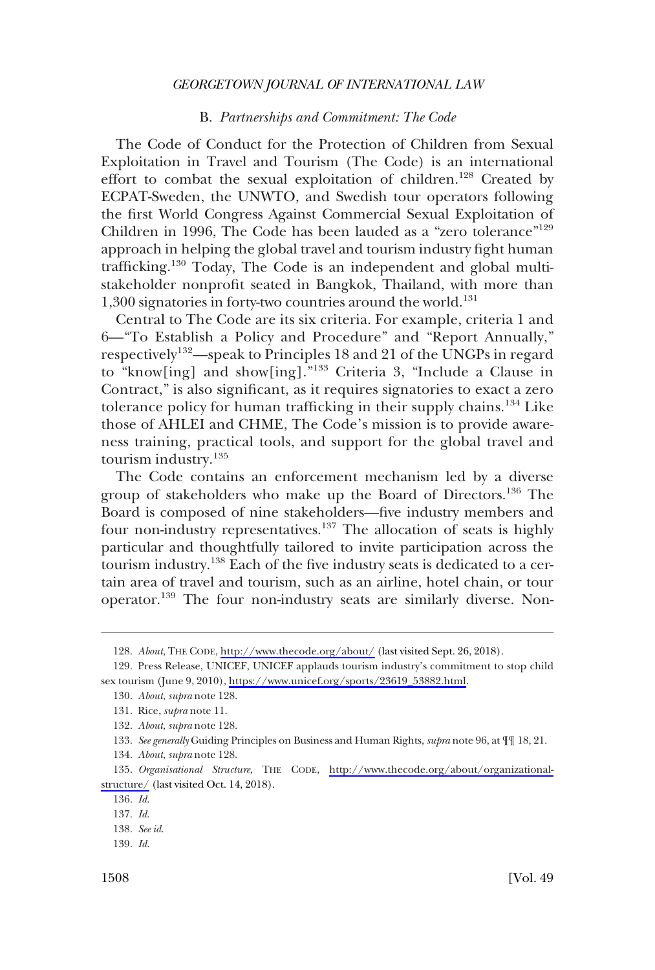#### B. *Partnerships and Commitment: The Code*

<span id="page-21-0"></span>The Code of Conduct for the Protection of Children from Sexual Exploitation in Travel and Tourism (The Code) is an international effort to combat the sexual exploitation of children.<sup>128</sup> Created by ECPAT-Sweden, the UNWTO, and Swedish tour operators following the first World Congress Against Commercial Sexual Exploitation of Children in 1996, The Code has been lauded as a "zero tolerance"129 approach in helping the global travel and tourism industry fight human trafficking.<sup>130</sup> Today, The Code is an independent and global multistakeholder nonprofit seated in Bangkok, Thailand, with more than  $1,300$  signatories in forty-two countries around the world.<sup>131</sup>

Central to The Code are its six criteria. For example, criteria 1 and 6—"To Establish a Policy and Procedure" and "Report Annually," respectively<sup>132</sup>—speak to Principles 18 and 21 of the UNGPs in regard to "know[ing] and show[ing]."<sup>133</sup> Criteria 3, "Include a Clause in Contract," is also significant, as it requires signatories to exact a zero tolerance policy for human trafficking in their supply chains.<sup>134</sup> Like those of AHLEI and CHME, The Code's mission is to provide awareness training, practical tools, and support for the global travel and tourism industry.<sup>135</sup>

The Code contains an enforcement mechanism led by a diverse group of stakeholders who make up the Board of Directors.<sup>136</sup> The Board is composed of nine stakeholders—five industry members and four non-industry representatives.<sup>137</sup> The allocation of seats is highly particular and thoughtfully tailored to invite participation across the tourism industry.<sup>138</sup> Each of the five industry seats is dedicated to a certain area of travel and tourism, such as an airline, hotel chain, or tour operator.<sup>139</sup> The four non-industry seats are similarly diverse. Non-

*About*, THE CODE, <http://www.thecode.org/about/> (last visited Sept. 26, 2018). 128.

<sup>129.</sup> Press Release, UNICEF, UNICEF applauds tourism industry's commitment to stop child sex tourism (June 9, 2010), [https://www.unicef.org/sports/23619\\_53882.html.](https://www.unicef.org/sports/23619_53882.html)

*About*, *supra* note 128. 130.

Rice, *supra* note 11. 131.

*About*, *supra* note 128. 132.

<sup>133.</sup> See generally Guiding Principles on Business and Human Rights, *supra* note 96, at  $\P$  [18, 21.

*About*, *supra* note 128. 134.

<sup>135.</sup> Organisational Structure, THE CODE, [http://www.thecode.org/about/organizational](http://www.thecode.org/about/organizational-structure/)[structure/](http://www.thecode.org/about/organizational-structure/) (last visited Oct. 14, 2018).

*Id*. 136.

*Id*. 137.

*See id*. 138.

*Id*. 139.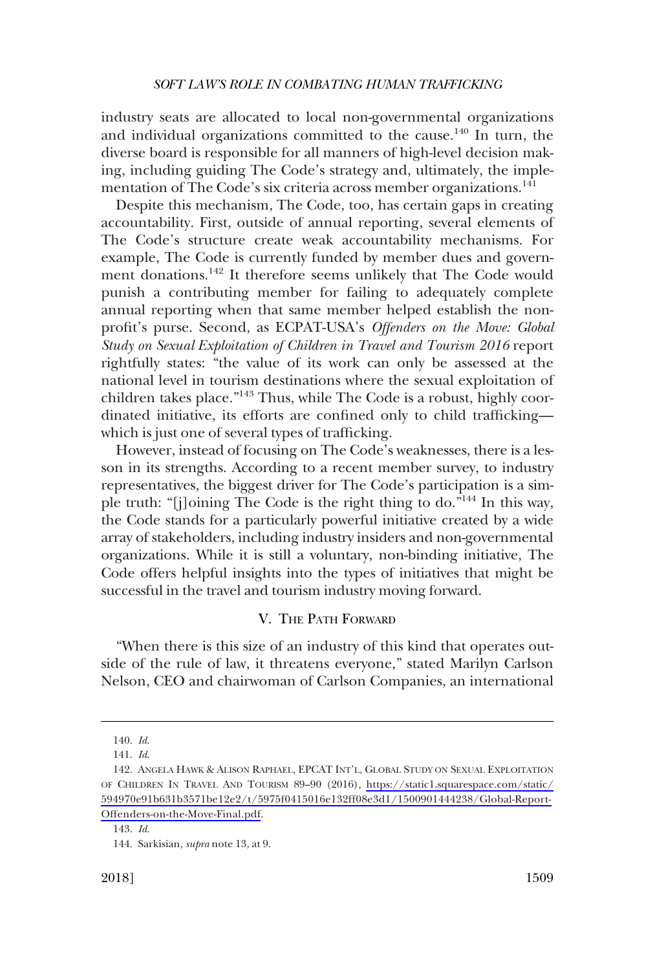<span id="page-22-0"></span>industry seats are allocated to local non-governmental organizations and individual organizations committed to the cause.<sup>140</sup> In turn, the diverse board is responsible for all manners of high-level decision making, including guiding The Code's strategy and, ultimately, the implementation of The Code's six criteria across member organizations.<sup>141</sup>

Despite this mechanism, The Code, too, has certain gaps in creating accountability. First, outside of annual reporting, several elements of The Code's structure create weak accountability mechanisms. For example, The Code is currently funded by member dues and government donations.<sup>142</sup> It therefore seems unlikely that The Code would punish a contributing member for failing to adequately complete annual reporting when that same member helped establish the nonprofit's purse. Second, as ECPAT-USA's *Offenders on the Move: Global Study on Sexual Exploitation of Children in Travel and Tourism 2016* report rightfully states: "the value of its work can only be assessed at the national level in tourism destinations where the sexual exploitation of children takes place."143 Thus, while The Code is a robust, highly coordinated initiative, its efforts are confined only to child trafficking which is just one of several types of trafficking.

However, instead of focusing on The Code's weaknesses, there is a lesson in its strengths. According to a recent member survey, to industry representatives, the biggest driver for The Code's participation is a simple truth: "[j]oining The Code is the right thing to do."<sup>144</sup> In this way, the Code stands for a particularly powerful initiative created by a wide array of stakeholders, including industry insiders and non-governmental organizations. While it is still a voluntary, non-binding initiative, The Code offers helpful insights into the types of initiatives that might be successful in the travel and tourism industry moving forward.

### V. THE PATH FORWARD

"When there is this size of an industry of this kind that operates outside of the rule of law, it threatens everyone," stated Marilyn Carlson Nelson, CEO and chairwoman of Carlson Companies, an international

*Id*. 140.

*Id*. 141.

<sup>142.</sup> ANGELA HAWK & ALISON RAPHAEL, EPCAT INT'L, GLOBAL STUDY ON SEXUAL EXPLOITATION OF CHILDREN IN TRAVEL AND TOURISM 89–90 (2016), [https://static1.squarespace.com/static/](https://static1.squarespace.com/static/594970e91b631b3571be12e2/t/5975f0415016e132ff08e3d1/1500901444238/Global-Report-Offenders-on-the-Move-Final.pdf) [594970e91b631b3571be12e2/t/5975f0415016e132ff08e3d1/1500901444238/Global-Report-](https://static1.squarespace.com/static/594970e91b631b3571be12e2/t/5975f0415016e132ff08e3d1/1500901444238/Global-Report-Offenders-on-the-Move-Final.pdf)[Offenders-on-the-Move-Final.pdf.](https://static1.squarespace.com/static/594970e91b631b3571be12e2/t/5975f0415016e132ff08e3d1/1500901444238/Global-Report-Offenders-on-the-Move-Final.pdf)

*Id*. 143.

<sup>144.</sup> Sarkisian, *supra* note 13, at 9.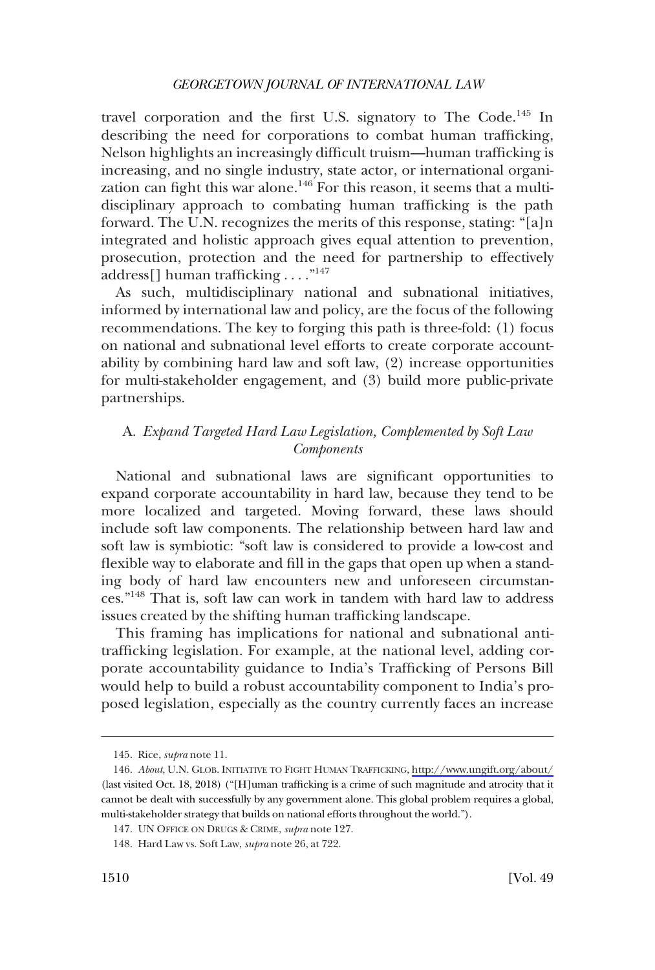<span id="page-23-0"></span>travel corporation and the first U.S. signatory to The Code.<sup>145</sup> In describing the need for corporations to combat human trafficking, Nelson highlights an increasingly difficult truism—human trafficking is increasing, and no single industry, state actor, or international organization can fight this war alone.<sup>146</sup> For this reason, it seems that a multidisciplinary approach to combating human trafficking is the path forward. The U.N. recognizes the merits of this response, stating: "[a]n integrated and holistic approach gives equal attention to prevention, prosecution, protection and the need for partnership to effectively address[] human trafficking . . . ."147

As such, multidisciplinary national and subnational initiatives, informed by international law and policy, are the focus of the following recommendations. The key to forging this path is three-fold: (1) focus on national and subnational level efforts to create corporate accountability by combining hard law and soft law, (2) increase opportunities for multi-stakeholder engagement, and (3) build more public-private partnerships.

# A. *Expand Targeted Hard Law Legislation, Complemented by Soft Law Components*

National and subnational laws are significant opportunities to expand corporate accountability in hard law, because they tend to be more localized and targeted. Moving forward, these laws should include soft law components. The relationship between hard law and soft law is symbiotic: "soft law is considered to provide a low-cost and flexible way to elaborate and fill in the gaps that open up when a standing body of hard law encounters new and unforeseen circumstances."148 That is, soft law can work in tandem with hard law to address issues created by the shifting human trafficking landscape.

This framing has implications for national and subnational antitrafficking legislation. For example, at the national level, adding corporate accountability guidance to India's Trafficking of Persons Bill would help to build a robust accountability component to India's proposed legislation, especially as the country currently faces an increase

<sup>145.</sup> Rice, *supra* note 11.

*About*, U.N. GLOB. INITIATIVE TO FIGHT HUMAN TRAFFICKING, <http://www.ungift.org/about/> 146. (last visited Oct. 18, 2018) ("[H]uman trafficking is a crime of such magnitude and atrocity that it cannot be dealt with successfully by any government alone. This global problem requires a global, multi-stakeholder strategy that builds on national efforts throughout the world.").

UN OFFICE ON DRUGS & CRIME, *supra* note 127. 147.

Hard Law vs. Soft Law, *supra* note 26, at 722. 148.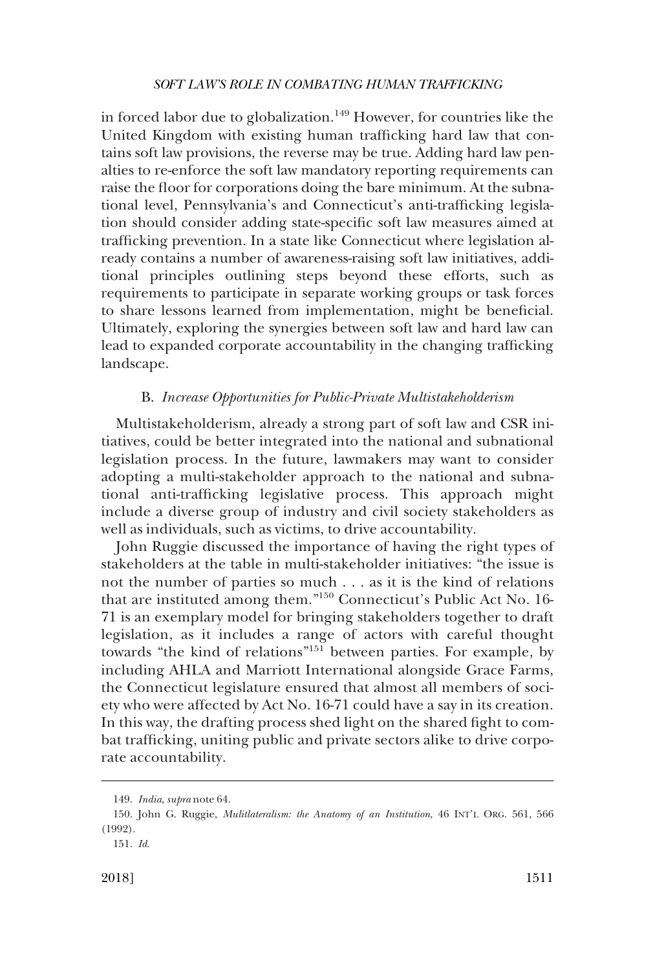<span id="page-24-0"></span>in forced labor due to globalization.<sup>149</sup> However, for countries like the United Kingdom with existing human trafficking hard law that contains soft law provisions, the reverse may be true. Adding hard law penalties to re-enforce the soft law mandatory reporting requirements can raise the floor for corporations doing the bare minimum. At the subnational level, Pennsylvania's and Connecticut's anti-trafficking legislation should consider adding state-specific soft law measures aimed at trafficking prevention. In a state like Connecticut where legislation already contains a number of awareness-raising soft law initiatives, additional principles outlining steps beyond these efforts, such as requirements to participate in separate working groups or task forces to share lessons learned from implementation, might be beneficial. Ultimately, exploring the synergies between soft law and hard law can lead to expanded corporate accountability in the changing trafficking landscape.

### B. *Increase Opportunities for Public-Private Multistakeholderism*

Multistakeholderism, already a strong part of soft law and CSR initiatives, could be better integrated into the national and subnational legislation process. In the future, lawmakers may want to consider adopting a multi-stakeholder approach to the national and subnational anti-trafficking legislative process. This approach might include a diverse group of industry and civil society stakeholders as well as individuals, such as victims, to drive accountability.

John Ruggie discussed the importance of having the right types of stakeholders at the table in multi-stakeholder initiatives: "the issue is not the number of parties so much . . . as it is the kind of relations that are instituted among them."<sup>150</sup> Connecticut's Public Act No. 16- 71 is an exemplary model for bringing stakeholders together to draft legislation, as it includes a range of actors with careful thought towards "the kind of relations"<sup>151</sup> between parties. For example, by including AHLA and Marriott International alongside Grace Farms, the Connecticut legislature ensured that almost all members of society who were affected by Act No. 16-71 could have a say in its creation. In this way, the drafting process shed light on the shared fight to combat trafficking, uniting public and private sectors alike to drive corporate accountability.

*India*, *supra* note 64. 149.

<sup>150.</sup> John G. Ruggie, *Mulitlateralism: the Anatomy of an Institution*, 46 INT'L ORG. 561, 566 (1992).

*Id*. 151.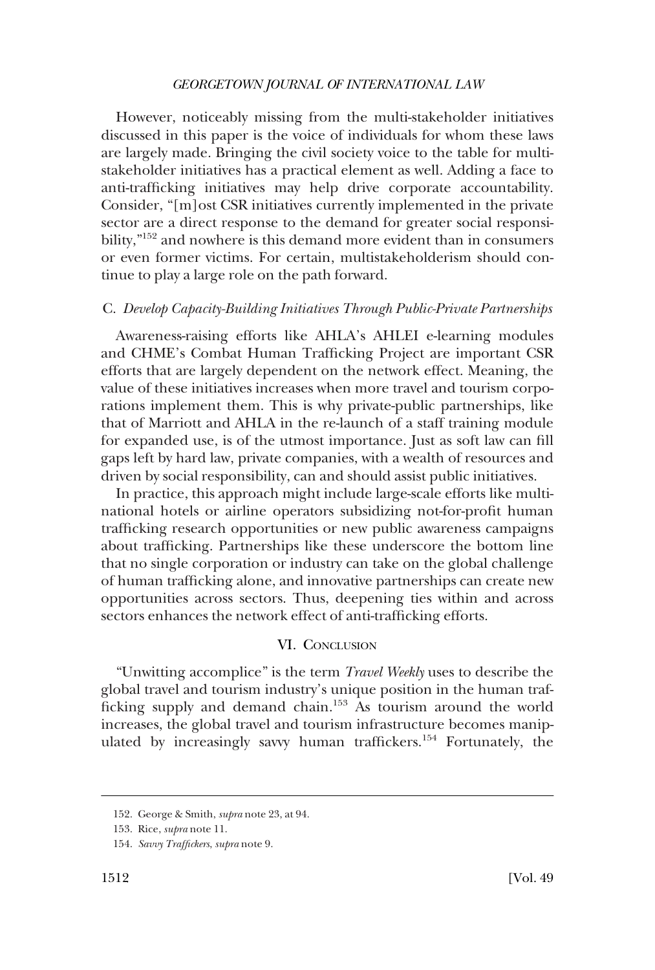<span id="page-25-0"></span>However, noticeably missing from the multi-stakeholder initiatives discussed in this paper is the voice of individuals for whom these laws are largely made. Bringing the civil society voice to the table for multistakeholder initiatives has a practical element as well. Adding a face to anti-trafficking initiatives may help drive corporate accountability. Consider, "[m]ost CSR initiatives currently implemented in the private sector are a direct response to the demand for greater social responsibility,"<sup>152</sup> and nowhere is this demand more evident than in consumers or even former victims. For certain, multistakeholderism should continue to play a large role on the path forward.

#### C. *Develop Capacity-Building Initiatives Through Public-Private Partnerships*

Awareness-raising efforts like AHLA's AHLEI e-learning modules and CHME's Combat Human Trafficking Project are important CSR efforts that are largely dependent on the network effect. Meaning, the value of these initiatives increases when more travel and tourism corporations implement them. This is why private-public partnerships, like that of Marriott and AHLA in the re-launch of a staff training module for expanded use, is of the utmost importance. Just as soft law can fill gaps left by hard law, private companies, with a wealth of resources and driven by social responsibility, can and should assist public initiatives.

In practice, this approach might include large-scale efforts like multinational hotels or airline operators subsidizing not-for-profit human trafficking research opportunities or new public awareness campaigns about trafficking. Partnerships like these underscore the bottom line that no single corporation or industry can take on the global challenge of human trafficking alone, and innovative partnerships can create new opportunities across sectors. Thus, deepening ties within and across sectors enhances the network effect of anti-trafficking efforts.

### VI. CONCLUSION

"Unwitting accomplice" is the term *Travel Weekly* uses to describe the global travel and tourism industry's unique position in the human trafficking supply and demand chain.<sup>153</sup> As tourism around the world increases, the global travel and tourism infrastructure becomes manipulated by increasingly savvy human traffickers.<sup>154</sup> Fortunately, the

George & Smith, *supra* note 23, at 94. 152.

<sup>153.</sup> Rice, *supra* note 11.

*Savvy Traffickers*, *supra* note 9. 154.